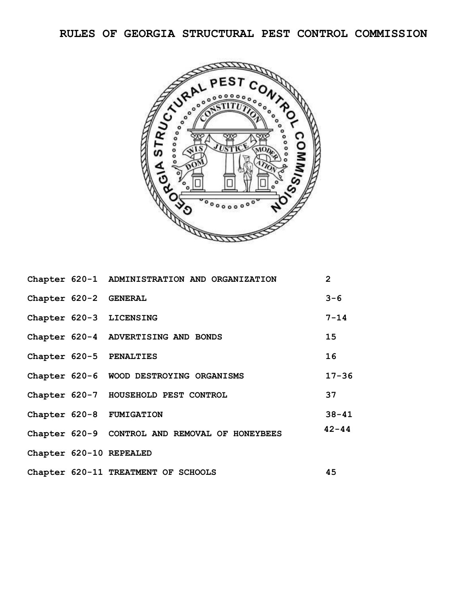**RULES OF GEORGIA STRUCTURAL PEST CONTROL COMMISSION**



|                       | Chapter 620-1 ADMINISTRATION AND ORGANIZATION  | $\overline{2}$ |
|-----------------------|------------------------------------------------|----------------|
| Chapter 620-2 GENERAL |                                                | $3 - 6$        |
|                       | Chapter 620-3 LICENSING                        | $7 - 14$       |
|                       | Chapter 620-4 ADVERTISING AND BONDS            | 15             |
|                       | Chapter 620-5 PENALTIES                        | 16             |
|                       | Chapter 620-6 WOOD DESTROYING ORGANISMS        | $17 - 36$      |
|                       | Chapter 620-7 HOUSEHOLD PEST CONTROL           | 37             |
|                       | Chapter 620-8 FUMIGATION                       | $38 - 41$      |
|                       | Chapter 620-9 CONTROL AND REMOVAL OF HONEYBEES | $42 - 44$      |
|                       | Chapter 620-10 REPEALED                        |                |
|                       | Chapter 620-11 TREATMENT OF SCHOOLS            | 45             |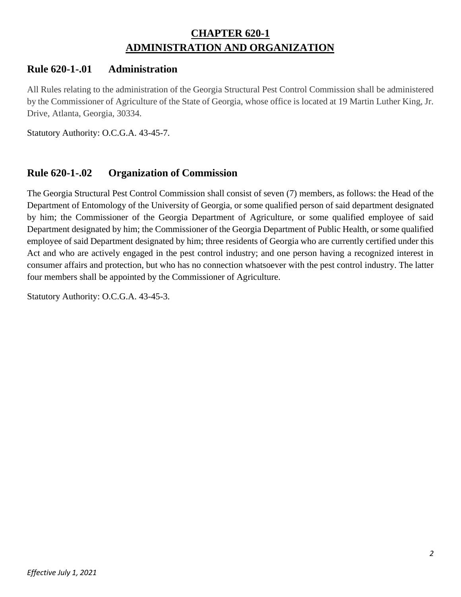# **CHAPTER 620-1 ADMINISTRATION AND ORGANIZATION**

# **Rule 620-1-.01 Administration**

All Rules relating to the administration of the Georgia Structural Pest Control Commission shall be administered by the Commissioner of Agriculture of the State of Georgia, whose office is located at 19 Martin Luther King, Jr. Drive, Atlanta, Georgia, 30334.

Statutory Authority: O.C.G.A. 43-45-7.

# **Rule 620-1-.02 Organization of Commission**

The Georgia Structural Pest Control Commission shall consist of seven (7) members, as follows: the Head of the Department of Entomology of the University of Georgia, or some qualified person of said department designated by him; the Commissioner of the Georgia Department of Agriculture, or some qualified employee of said Department designated by him; the Commissioner of the Georgia Department of Public Health, or some qualified employee of said Department designated by him; three residents of Georgia who are currently certified under this Act and who are actively engaged in the pest control industry; and one person having a recognized interest in consumer affairs and protection, but who has no connection whatsoever with the pest control industry. The latter four members shall be appointed by the Commissioner of Agriculture.

Statutory Authority: O.C.G.A. 43-45-3.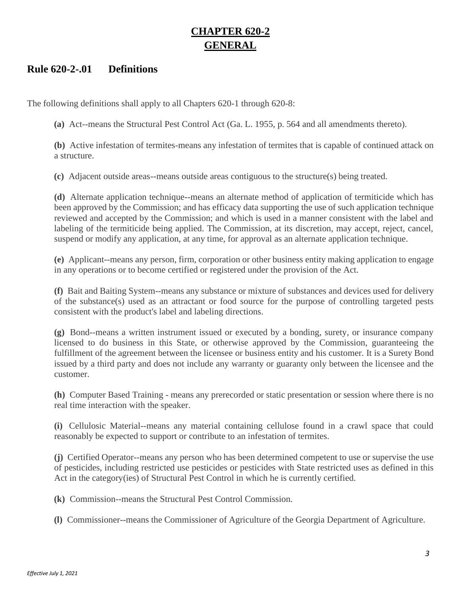# **CHAPTER 620-2 GENERAL**

## **Rule 620-2-.01 Definitions**

The following definitions shall apply to all Chapters 620-1 through 620-8:

**(a)** Act--means the Structural Pest Control Act (Ga. L. 1955, p. 564 and all amendments thereto).

**(b)** Active infestation of termites-means any infestation of termites that is capable of continued attack on a structure.

**(c)** Adjacent outside areas--means outside areas contiguous to the structure(s) being treated.

**(d)** Alternate application technique--means an alternate method of application of termiticide which has been approved by the Commission; and has efficacy data supporting the use of such application technique reviewed and accepted by the Commission; and which is used in a manner consistent with the label and labeling of the termiticide being applied. The Commission, at its discretion, may accept, reject, cancel, suspend or modify any application, at any time, for approval as an alternate application technique.

**(e)** Applicant--means any person, firm, corporation or other business entity making application to engage in any operations or to become certified or registered under the provision of the Act.

**(f)** Bait and Baiting System--means any substance or mixture of substances and devices used for delivery of the substance(s) used as an attractant or food source for the purpose of controlling targeted pests consistent with the product's label and labeling directions.

**(g)** Bond--means a written instrument issued or executed by a bonding, surety, or insurance company licensed to do business in this State, or otherwise approved by the Commission, guaranteeing the fulfillment of the agreement between the licensee or business entity and his customer. It is a Surety Bond issued by a third party and does not include any warranty or guaranty only between the licensee and the customer.

**(h)** Computer Based Training - means any prerecorded or static presentation or session where there is no real time interaction with the speaker.

**(i)** Cellulosic Material--means any material containing cellulose found in a crawl space that could reasonably be expected to support or contribute to an infestation of termites.

**(j)** Certified Operator--means any person who has been determined competent to use or supervise the use of pesticides, including restricted use pesticides or pesticides with State restricted uses as defined in this Act in the category(ies) of Structural Pest Control in which he is currently certified.

**(k)** Commission--means the Structural Pest Control Commission.

**(l)** Commissioner--means the Commissioner of Agriculture of the Georgia Department of Agriculture.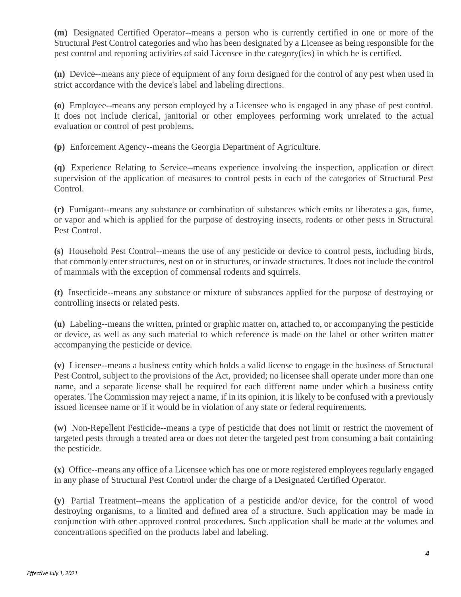**(m)** Designated Certified Operator--means a person who is currently certified in one or more of the Structural Pest Control categories and who has been designated by a Licensee as being responsible for the pest control and reporting activities of said Licensee in the category(ies) in which he is certified.

**(n)** Device--means any piece of equipment of any form designed for the control of any pest when used in strict accordance with the device's label and labeling directions.

**(o)** Employee--means any person employed by a Licensee who is engaged in any phase of pest control. It does not include clerical, janitorial or other employees performing work unrelated to the actual evaluation or control of pest problems.

**(p)** Enforcement Agency--means the Georgia Department of Agriculture.

**(q)** Experience Relating to Service--means experience involving the inspection, application or direct supervision of the application of measures to control pests in each of the categories of Structural Pest Control.

**(r)** Fumigant--means any substance or combination of substances which emits or liberates a gas, fume, or vapor and which is applied for the purpose of destroying insects, rodents or other pests in Structural Pest Control.

**(s)** Household Pest Control--means the use of any pesticide or device to control pests, including birds, that commonly enterstructures, nest on or in structures, or invade structures. It does not include the control of mammals with the exception of commensal rodents and squirrels.

**(t)** Insecticide--means any substance or mixture of substances applied for the purpose of destroying or controlling insects or related pests.

**(u)** Labeling--means the written, printed or graphic matter on, attached to, or accompanying the pesticide or device, as well as any such material to which reference is made on the label or other written matter accompanying the pesticide or device.

**(v)** Licensee--means a business entity which holds a valid license to engage in the business of Structural Pest Control, subject to the provisions of the Act, provided; no licensee shall operate under more than one name, and a separate license shall be required for each different name under which a business entity operates. The Commission may reject a name, if in its opinion, it is likely to be confused with a previously issued licensee name or if it would be in violation of any state or federal requirements.

**(w)** Non-Repellent Pesticide--means a type of pesticide that does not limit or restrict the movement of targeted pests through a treated area or does not deter the targeted pest from consuming a bait containing the pesticide.

**(x)** Office--means any office of a Licensee which has one or more registered employees regularly engaged in any phase of Structural Pest Control under the charge of a Designated Certified Operator.

**(y)** Partial Treatment--means the application of a pesticide and/or device, for the control of wood destroying organisms, to a limited and defined area of a structure. Such application may be made in conjunction with other approved control procedures. Such application shall be made at the volumes and concentrations specified on the products label and labeling.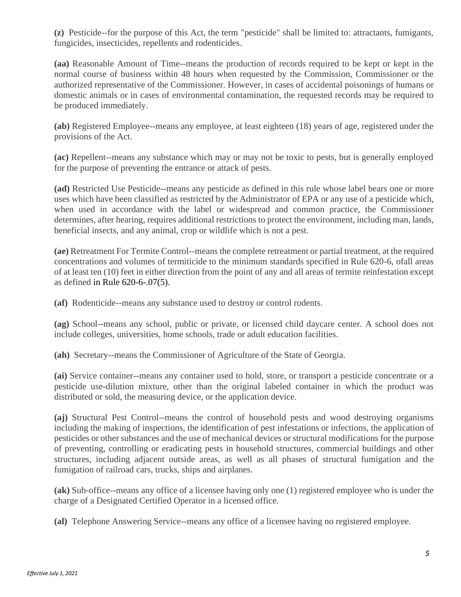**(z)** Pesticide--for the purpose of this Act, the term "pesticide" shall be limited to: attractants, fumigants, fungicides, insecticides, repellents and rodenticides.

**(aa)** Reasonable Amount of Time--means the production of records required to be kept or kept in the normal course of business within 48 hours when requested by the Commission, Commissioner or the authorized representative of the Commissioner. However, in cases of accidental poisonings of humans or domestic animals or in cases of environmental contamination, the requested records may be required to be produced immediately.

**(ab)** Registered Employee--means any employee, at least eighteen (18) years of age, registered under the provisions of the Act.

**(ac)** Repellent--means any substance which may or may not be toxic to pests, but is generally employed for the purpose of preventing the entrance or attack of pests.

**(ad)** Restricted Use Pesticide--means any pesticide as defined in this rule whose label bears one or more uses which have been classified as restricted by the Administrator of EPA or any use of a pesticide which, when used in accordance with the label or widespread and common practice, the Commissioner determines, after hearing, requires additional restrictions to protect the environment, including man, lands, beneficial insects, and any animal, crop or wildlife which is not a pest.

**(ae)** Retreatment For Termite Control--means the complete retreatment or partial treatment, at the required concentrations and volumes of termiticide to the minimum standards specified in Rule 620-6, ofall areas of at least ten (10) feet in either direction from the point of any and all areas of termite reinfestation except as defined in Rule 620-6-.07(5).

**(af)** Rodenticide--means any substance used to destroy or control rodents.

**(ag)** School--means any school, public or private, or licensed child daycare center. A school does not include colleges, universities, home schools, trade or adult education facilities.

**(ah)** Secretary--means the Commissioner of Agriculture of the State of Georgia.

**(ai)** Service container--means any container used to hold, store, or transport a pesticide concentrate or a pesticide use-dilution mixture, other than the original labeled container in which the product was distributed or sold, the measuring device, or the application device.

**(aj)** Structural Pest Control--means the control of household pests and wood destroying organisms including the making of inspections, the identification of pest infestations or infections, the application of pesticides or other substances and the use of mechanical devices or structural modifications for the purpose of preventing, controlling or eradicating pests in household structures, commercial buildings and other structures, including adjacent outside areas, as well as all phases of structural fumigation and the fumigation of railroad cars, trucks, ships and airplanes.

**(ak)** Sub-office--means any office of a licensee having only one (1) registered employee who is under the charge of a Designated Certified Operator in a licensed office.

**(al)** Telephone Answering Service--means any office of a licensee having no registered employee.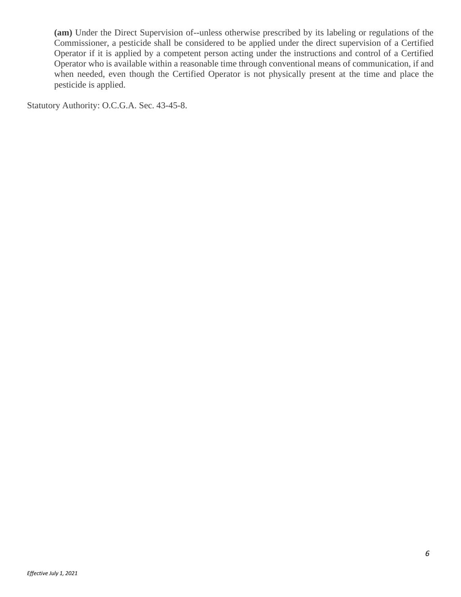**(am)** Under the Direct Supervision of--unless otherwise prescribed by its labeling or regulations of the Commissioner, a pesticide shall be considered to be applied under the direct supervision of a Certified Operator if it is applied by a competent person acting under the instructions and control of a Certified Operator who is available within a reasonable time through conventional means of communication, if and when needed, even though the Certified Operator is not physically present at the time and place the pesticide is applied.

Statutory Authority: O.C.G.A. Sec. 43-45-8.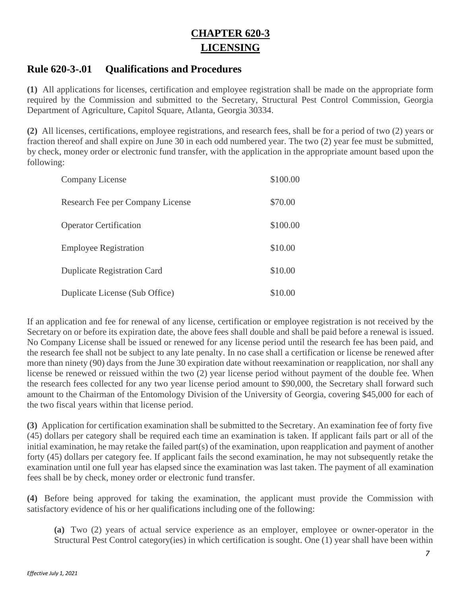# **CHAPTER 620-3 LICENSING**

## **Rule 620-3-.01 Qualifications and Procedures**

**(1)** All applications for licenses, certification and employee registration shall be made on the appropriate form required by the Commission and submitted to the Secretary, Structural Pest Control Commission, Georgia Department of Agriculture, Capitol Square, Atlanta, Georgia 30334.

**(2)** All licenses, certifications, employee registrations, and research fees, shall be for a period of two (2) years or fraction thereof and shall expire on June 30 in each odd numbered year. The two (2) year fee must be submitted, by check, money order or electronic fund transfer, with the application in the appropriate amount based upon the following:

| Company License                    | \$100.00 |
|------------------------------------|----------|
| Research Fee per Company License   | \$70.00  |
| <b>Operator Certification</b>      | \$100.00 |
| <b>Employee Registration</b>       | \$10.00  |
| <b>Duplicate Registration Card</b> | \$10.00  |
| Duplicate License (Sub Office)     | \$10.00  |

If an application and fee for renewal of any license, certification or employee registration is not received by the Secretary on or before its expiration date, the above fees shall double and shall be paid before a renewal is issued. No Company License shall be issued or renewed for any license period until the research fee has been paid, and the research fee shall not be subject to any late penalty. In no case shall a certification or license be renewed after more than ninety (90) days from the June 30 expiration date without reexamination or reapplication, nor shall any license be renewed or reissued within the two (2) year license period without payment of the double fee. When the research fees collected for any two year license period amount to \$90,000, the Secretary shall forward such amount to the Chairman of the Entomology Division of the University of Georgia, covering \$45,000 for each of the two fiscal years within that license period.

**(3)** Application for certification examination shall be submitted to the Secretary. An examination fee of forty five (45) dollars per category shall be required each time an examination is taken. If applicant fails part or all of the initial examination, he may retake the failed part(s) of the examination, upon reapplication and payment of another forty (45) dollars per category fee. If applicant fails the second examination, he may not subsequently retake the examination until one full year has elapsed since the examination was last taken. The payment of all examination fees shall be by check, money order or electronic fund transfer.

**(4)** Before being approved for taking the examination, the applicant must provide the Commission with satisfactory evidence of his or her qualifications including one of the following:

**(a)** Two (2) years of actual service experience as an employer, employee or owner-operator in the Structural Pest Control category(ies) in which certification is sought. One (1) year shall have been within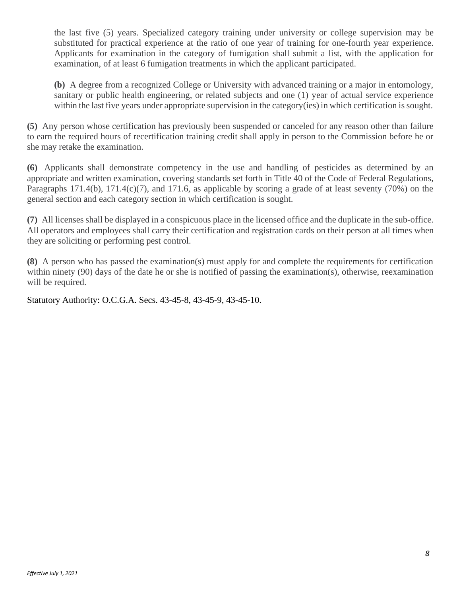the last five (5) years. Specialized category training under university or college supervision may be substituted for practical experience at the ratio of one year of training for one-fourth year experience. Applicants for examination in the category of fumigation shall submit a list, with the application for examination, of at least 6 fumigation treatments in which the applicant participated.

**(b)** A degree from a recognized College or University with advanced training or a major in entomology, sanitary or public health engineering, or related subjects and one (1) year of actual service experience within the last five years under appropriate supervision in the category(ies) in which certification is sought.

**(5)** Any person whose certification has previously been suspended or canceled for any reason other than failure to earn the required hours of recertification training credit shall apply in person to the Commission before he or she may retake the examination.

**(6)** Applicants shall demonstrate competency in the use and handling of pesticides as determined by an appropriate and written examination, covering standards set forth in Title 40 of the Code of Federal Regulations, Paragraphs  $171.4(b)$ ,  $171.4(c)(7)$ , and  $171.6$ , as applicable by scoring a grade of at least seventy (70%) on the general section and each category section in which certification is sought.

**(7)** All licenses shall be displayed in a conspicuous place in the licensed office and the duplicate in the sub-office. All operators and employees shall carry their certification and registration cards on their person at all times when they are soliciting or performing pest control.

**(8)** A person who has passed the examination(s) must apply for and complete the requirements for certification within ninety (90) days of the date he or she is notified of passing the examination(s), otherwise, reexamination will be required.

Statutory Authority: O.C.G.A. Secs. 43-45-8, 43-45-9, 43-45-10.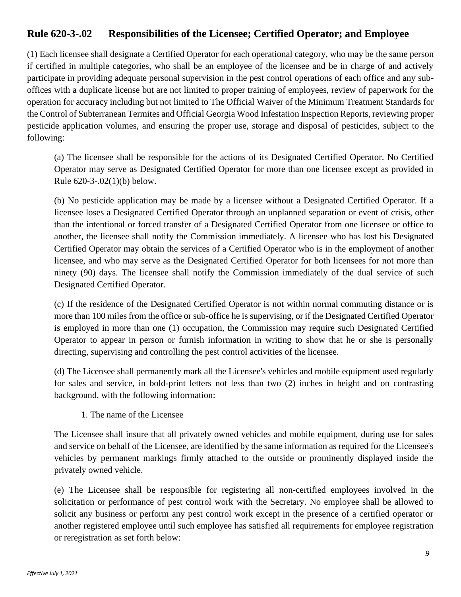# **Rule 620-3-.02 Responsibilities of the Licensee; Certified Operator; and Employee**

(1) Each licensee shall designate a Certified Operator for each operational category, who may be the same person if certified in multiple categories, who shall be an employee of the licensee and be in charge of and actively participate in providing adequate personal supervision in the pest control operations of each office and any suboffices with a duplicate license but are not limited to proper training of employees, review of paperwork for the operation for accuracy including but not limited to The Official Waiver of the Minimum Treatment Standards for the Control of Subterranean Termites and Official Georgia Wood Infestation Inspection Reports, reviewing proper pesticide application volumes, and ensuring the proper use, storage and disposal of pesticides, subject to the following:

(a) The licensee shall be responsible for the actions of its Designated Certified Operator. No Certified Operator may serve as Designated Certified Operator for more than one licensee except as provided in Rule [620-3-.02\(1\)\(b\)](http://rules.sos.ga.gov/GAC/620-3-.02#620-3-.02(1)(b)) below.

(b) No pesticide application may be made by a licensee without a Designated Certified Operator. If a licensee loses a Designated Certified Operator through an unplanned separation or event of crisis, other than the intentional or forced transfer of a Designated Certified Operator from one licensee or office to another, the licensee shall notify the Commission immediately. A licensee who has lost his Designated Certified Operator may obtain the services of a Certified Operator who is in the employment of another licensee, and who may serve as the Designated Certified Operator for both licensees for not more than ninety (90) days. The licensee shall notify the Commission immediately of the dual service of such Designated Certified Operator.

(c) If the residence of the Designated Certified Operator is not within normal commuting distance or is more than 100 miles from the office or sub-office he is supervising, or if the Designated Certified Operator is employed in more than one (1) occupation, the Commission may require such Designated Certified Operator to appear in person or furnish information in writing to show that he or she is personally directing, supervising and controlling the pest control activities of the licensee.

(d) The Licensee shall permanently mark all the Licensee's vehicles and mobile equipment used regularly for sales and service, in bold-print letters not less than two (2) inches in height and on contrasting background, with the following information:

1. The name of the Licensee

The Licensee shall insure that all privately owned vehicles and mobile equipment, during use for sales and service on behalf of the Licensee, are identified by the same information as required for the Licensee's vehicles by permanent markings firmly attached to the outside or prominently displayed inside the privately owned vehicle.

(e) The Licensee shall be responsible for registering all non-certified employees involved in the solicitation or performance of pest control work with the Secretary. No employee shall be allowed to solicit any business or perform any pest control work except in the presence of a certified operator or another registered employee until such employee has satisfied all requirements for employee registration or reregistration as set forth below: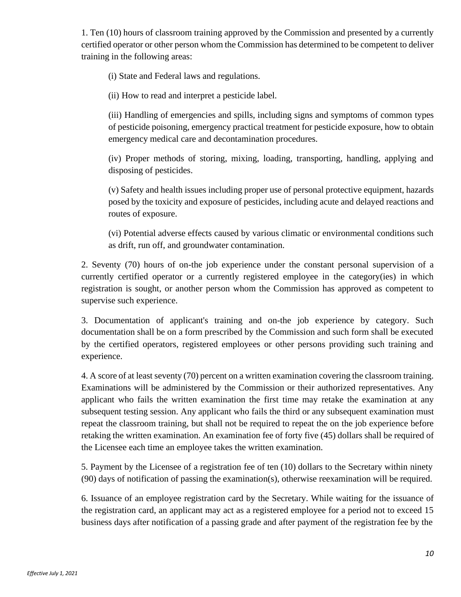1. Ten (10) hours of classroom training approved by the Commission and presented by a currently certified operator or other person whom the Commission has determined to be competent to deliver training in the following areas:

(i) State and Federal laws and regulations.

(ii) How to read and interpret a pesticide label.

(iii) Handling of emergencies and spills, including signs and symptoms of common types of pesticide poisoning, emergency practical treatment for pesticide exposure, how to obtain emergency medical care and decontamination procedures.

(iv) Proper methods of storing, mixing, loading, transporting, handling, applying and disposing of pesticides.

(v) Safety and health issues including proper use of personal protective equipment, hazards posed by the toxicity and exposure of pesticides, including acute and delayed reactions and routes of exposure.

(vi) Potential adverse effects caused by various climatic or environmental conditions such as drift, run off, and groundwater contamination.

2. Seventy (70) hours of on-the job experience under the constant personal supervision of a currently certified operator or a currently registered employee in the category(ies) in which registration is sought, or another person whom the Commission has approved as competent to supervise such experience.

3. Documentation of applicant's training and on-the job experience by category. Such documentation shall be on a form prescribed by the Commission and such form shall be executed by the certified operators, registered employees or other persons providing such training and experience.

4. A score of at least seventy (70) percent on a written examination covering the classroom training. Examinations will be administered by the Commission or their authorized representatives. Any applicant who fails the written examination the first time may retake the examination at any subsequent testing session. Any applicant who fails the third or any subsequent examination must repeat the classroom training, but shall not be required to repeat the on the job experience before retaking the written examination. An examination fee of forty five (45) dollars shall be required of the Licensee each time an employee takes the written examination.

5. Payment by the Licensee of a registration fee of ten (10) dollars to the Secretary within ninety (90) days of notification of passing the examination(s), otherwise reexamination will be required.

6. Issuance of an employee registration card by the Secretary. While waiting for the issuance of the registration card, an applicant may act as a registered employee for a period not to exceed 15 business days after notification of a passing grade and after payment of the registration fee by the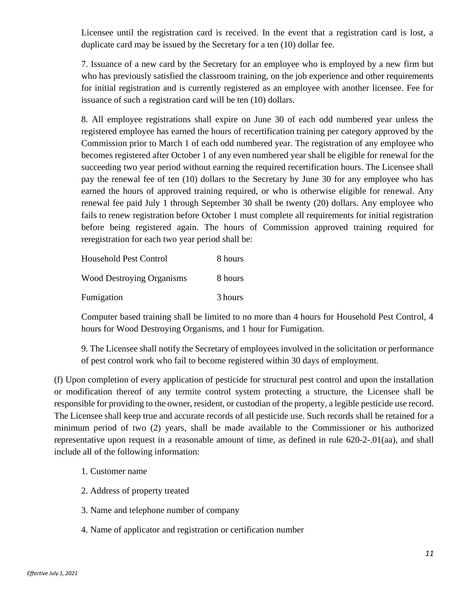Licensee until the registration card is received. In the event that a registration card is lost, a duplicate card may be issued by the Secretary for a ten (10) dollar fee.

7. Issuance of a new card by the Secretary for an employee who is employed by a new firm but who has previously satisfied the classroom training, on the job experience and other requirements for initial registration and is currently registered as an employee with another licensee. Fee for issuance of such a registration card will be ten (10) dollars.

8. All employee registrations shall expire on June 30 of each odd numbered year unless the registered employee has earned the hours of recertification training per category approved by the Commission prior to March 1 of each odd numbered year. The registration of any employee who becomes registered after October 1 of any even numbered year shall be eligible for renewal for the succeeding two year period without earning the required recertification hours. The Licensee shall pay the renewal fee of ten (10) dollars to the Secretary by June 30 for any employee who has earned the hours of approved training required, or who is otherwise eligible for renewal. Any renewal fee paid July 1 through September 30 shall be twenty (20) dollars. Any employee who fails to renew registration before October 1 must complete all requirements for initial registration before being registered again. The hours of Commission approved training required for reregistration for each two year period shall be:

| <b>Household Pest Control</b>    | 8 hours |
|----------------------------------|---------|
| <b>Wood Destroying Organisms</b> | 8 hours |
| Fumigation                       | 3 hours |

Computer based training shall be limited to no more than 4 hours for Household Pest Control, 4 hours for Wood Destroying Organisms, and 1 hour for Fumigation.

9. The Licensee shall notify the Secretary of employees involved in the solicitation or performance of pest control work who fail to become registered within 30 days of employment.

(f) Upon completion of every application of pesticide for structural pest control and upon the installation or modification thereof of any termite control system protecting a structure, the Licensee shall be responsible for providing to the owner, resident, or custodian of the property, a legible pesticide use record. The Licensee shall keep true and accurate records of all pesticide use. Such records shall be retained for a minimum period of two (2) years, shall be made available to the Commissioner or his authorized representative upon request in a reasonable amount of time, as defined in rule [620-2-.01\(aa\),](http://rules.sos.ga.gov/GAC/620-2-.01#620-2-.01(aa)) and shall include all of the following information:

- 1. Customer name
- 2. Address of property treated
- 3. Name and telephone number of company
- 4. Name of applicator and registration or certification number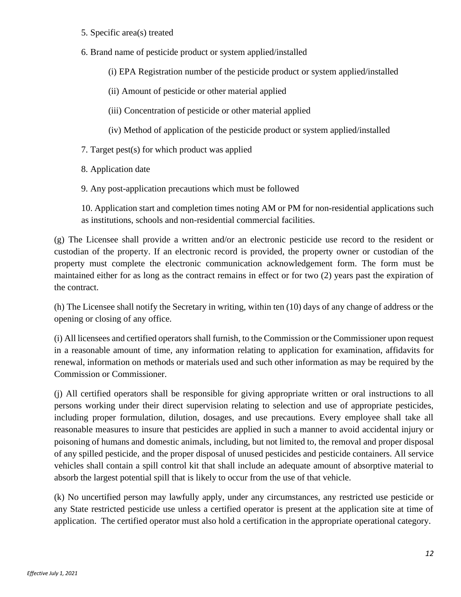- 5. Specific area(s) treated
- 6. Brand name of pesticide product or system applied/installed
	- (i) EPA Registration number of the pesticide product or system applied/installed
	- (ii) Amount of pesticide or other material applied
	- (iii) Concentration of pesticide or other material applied
	- (iv) Method of application of the pesticide product or system applied/installed
- 7. Target pest(s) for which product was applied
- 8. Application date
- 9. Any post-application precautions which must be followed

10. Application start and completion times noting AM or PM for non-residential applications such as institutions, schools and non-residential commercial facilities.

(g) The Licensee shall provide a written and/or an electronic pesticide use record to the resident or custodian of the property. If an electronic record is provided, the property owner or custodian of the property must complete the electronic communication acknowledgement form. The form must be maintained either for as long as the contract remains in effect or for two (2) years past the expiration of the contract.

(h) The Licensee shall notify the Secretary in writing, within ten (10) days of any change of address or the opening or closing of any office.

(i) All licensees and certified operators shall furnish, to the Commission or the Commissioner upon request in a reasonable amount of time, any information relating to application for examination, affidavits for renewal, information on methods or materials used and such other information as may be required by the Commission or Commissioner.

(j) All certified operators shall be responsible for giving appropriate written or oral instructions to all persons working under their direct supervision relating to selection and use of appropriate pesticides, including proper formulation, dilution, dosages, and use precautions. Every employee shall take all reasonable measures to insure that pesticides are applied in such a manner to avoid accidental injury or poisoning of humans and domestic animals, including, but not limited to, the removal and proper disposal of any spilled pesticide, and the proper disposal of unused pesticides and pesticide containers. All service vehicles shall contain a spill control kit that shall include an adequate amount of absorptive material to absorb the largest potential spill that is likely to occur from the use of that vehicle.

(k) No uncertified person may lawfully apply, under any circumstances, any restricted use pesticide or any State restricted pesticide use unless a certified operator is present at the application site at time of application. The certified operator must also hold a certification in the appropriate operational category.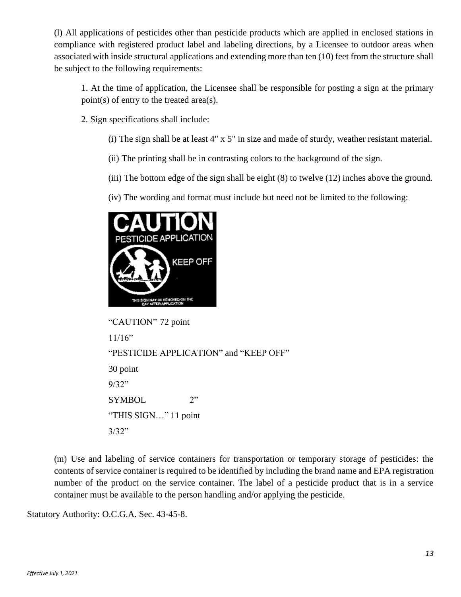(l) All applications of pesticides other than pesticide products which are applied in enclosed stations in compliance with registered product label and labeling directions, by a Licensee to outdoor areas when associated with inside structural applications and extending more than ten (10) feet from the structure shall be subject to the following requirements:

1. At the time of application, the Licensee shall be responsible for posting a sign at the primary point(s) of entry to the treated area(s).

- 2. Sign specifications shall include:
	- (i) The sign shall be at least 4" x 5" in size and made of sturdy, weather resistant material.
	- (ii) The printing shall be in contrasting colors to the background of the sign.
	- (iii) The bottom edge of the sign shall be eight (8) to twelve (12) inches above the ground.
	- (iv) The wording and format must include but need not be limited to the following:



```
"CAUTION" 72 point
11/16"
"PESTICIDE APPLICATION" and "KEEP OFF"
30 point
9/32"
SYMBOL 2"
"THIS SIGN…" 11 point
3/32"
```
(m) Use and labeling of service containers for transportation or temporary storage of pesticides: the contents of service container is required to be identified by including the brand name and EPA registration number of the product on the service container. The label of a pesticide product that is in a service container must be available to the person handling and/or applying the pesticide.

Statutory Authority: O.C.G.A. Sec. 43-45-8.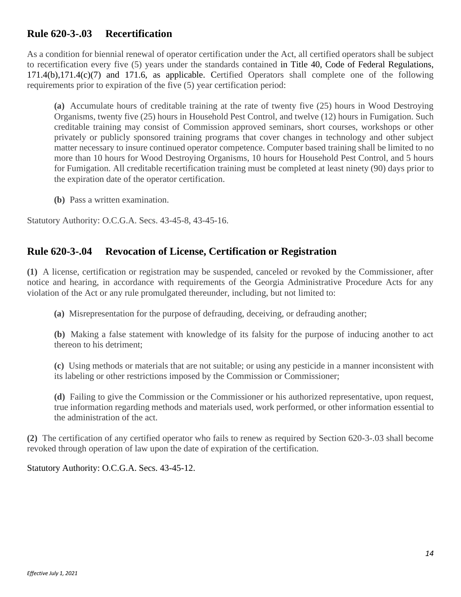# **Rule 620-3-.03 Recertification**

As a condition for biennial renewal of operator certification under the Act, all certified operators shall be subject to recertification every five (5) years under the standards contained in Title 40, Code of Federal Regulations, 171.4(b),171.4(c)(7) and 171.6, as applicable. Certified Operators shall complete one of the following requirements prior to expiration of the five (5) year certification period:

**(a)** Accumulate hours of creditable training at the rate of twenty five (25) hours in Wood Destroying Organisms, twenty five (25) hours in Household Pest Control, and twelve (12) hours in Fumigation. Such creditable training may consist of Commission approved seminars, short courses, workshops or other privately or publicly sponsored training programs that cover changes in technology and other subject matter necessary to insure continued operator competence. Computer based training shall be limited to no more than 10 hours for Wood Destroying Organisms, 10 hours for Household Pest Control, and 5 hours for Fumigation. All creditable recertification training must be completed at least ninety (90) days prior to the expiration date of the operator certification.

**(b)** Pass a written examination.

Statutory Authority: O.C.G.A. Secs. 43-45-8, 43-45-16.

# **Rule 620-3-.04 Revocation of License, Certification or Registration**

**(1)** A license, certification or registration may be suspended, canceled or revoked by the Commissioner, after notice and hearing, in accordance with requirements of the Georgia Administrative Procedure Acts for any violation of the Act or any rule promulgated thereunder, including, but not limited to:

**(a)** Misrepresentation for the purpose of defrauding, deceiving, or defrauding another;

**(b)** Making a false statement with knowledge of its falsity for the purpose of inducing another to act thereon to his detriment;

**(c)** Using methods or materials that are not suitable; or using any pesticide in a manner inconsistent with its labeling or other restrictions imposed by the Commission or Commissioner;

**(d)** Failing to give the Commission or the Commissioner or his authorized representative, upon request, true information regarding methods and materials used, work performed, or other information essential to the administration of the act.

**(2)** The certification of any certified operator who fails to renew as required by Section 620-3-.03 shall become revoked through operation of law upon the date of expiration of the certification.

Statutory Authority: O.C.G.A. Secs. 43-45-12.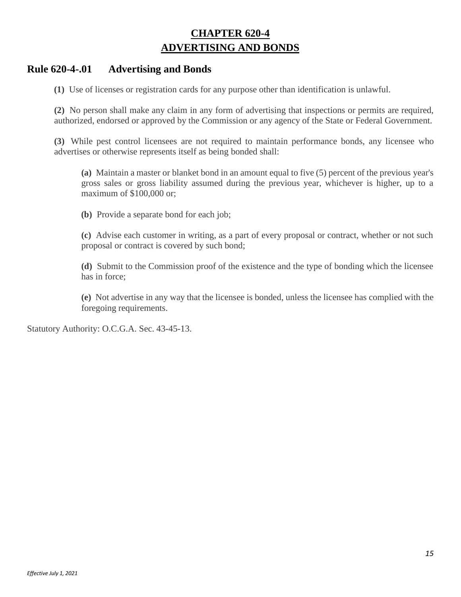# **CHAPTER 620-4 ADVERTISING AND BONDS**

### **Rule 620-4-.01 Advertising and Bonds**

**(1)** Use of licenses or registration cards for any purpose other than identification is unlawful.

**(2)** No person shall make any claim in any form of advertising that inspections or permits are required, authorized, endorsed or approved by the Commission or any agency of the State or Federal Government.

**(3)** While pest control licensees are not required to maintain performance bonds, any licensee who advertises or otherwise represents itself as being bonded shall:

**(a)** Maintain a master or blanket bond in an amount equal to five (5) percent of the previous year's gross sales or gross liability assumed during the previous year, whichever is higher, up to a maximum of \$100,000 or;

**(b)** Provide a separate bond for each job;

**(c)** Advise each customer in writing, as a part of every proposal or contract, whether or not such proposal or contract is covered by such bond;

**(d)** Submit to the Commission proof of the existence and the type of bonding which the licensee has in force;

**(e)** Not advertise in any way that the licensee is bonded, unless the licensee has complied with the foregoing requirements.

Statutory Authority: O.C.G.A. Sec. 43-45-13.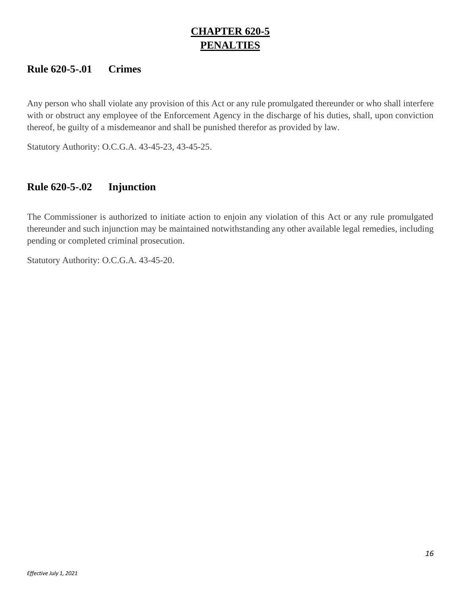# **CHAPTER 620-5 PENALTIES**

# **Rule 620-5-.01 Crimes**

Any person who shall violate any provision of this Act or any rule promulgated thereunder or who shall interfere with or obstruct any employee of the Enforcement Agency in the discharge of his duties, shall, upon conviction thereof, be guilty of a misdemeanor and shall be punished therefor as provided by law.

Statutory Authority: O.C.G.A. 43-45-23, 43-45-25.

# **Rule 620-5-.02 Injunction**

The Commissioner is authorized to initiate action to enjoin any violation of this Act or any rule promulgated thereunder and such injunction may be maintained notwithstanding any other available legal remedies, including pending or completed criminal prosecution.

Statutory Authority: O.C.G.A. 43-45-20.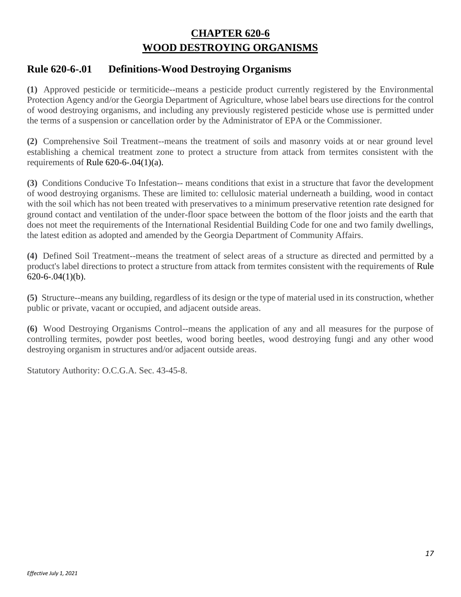# **CHAPTER 620-6 WOOD DESTROYING ORGANISMS**

# **Rule 620-6-.01 Definitions-Wood Destroying Organisms**

**(1)** Approved pesticide or termiticide--means a pesticide product currently registered by the Environmental Protection Agency and/or the Georgia Department of Agriculture, whose label bears use directions for the control of wood destroying organisms, and including any previously registered pesticide whose use is permitted under the terms of a suspension or cancellation order by the Administrator of EPA or the Commissioner.

**(2)** Comprehensive Soil Treatment--means the treatment of soils and masonry voids at or near ground level establishing a chemical treatment zone to protect a structure from attack from termites consistent with the requirements of Rule  $620-6-04(1)(a)$ .

**(3)** Conditions Conducive To Infestation-- means conditions that exist in a structure that favor the development of wood destroying organisms. These are limited to: cellulosic material underneath a building, wood in contact with the soil which has not been treated with preservatives to a minimum preservative retention rate designed for ground contact and ventilation of the under-floor space between the bottom of the floor joists and the earth that does not meet the requirements of the International Residential Building Code for one and two family dwellings, the latest edition as adopted and amended by the Georgia Department of Community Affairs.

**(4)** Defined Soil Treatment--means the treatment of select areas of a structure as directed and permitted by a product's label directions to protect a structure from attack from termites consistent with the requirements of Rule  $620-6-.04(1)(b)$ .

**(5)** Structure--means any building, regardless of its design or the type of material used in its construction, whether public or private, vacant or occupied, and adjacent outside areas.

**(6)** Wood Destroying Organisms Control--means the application of any and all measures for the purpose of controlling termites, powder post beetles, wood boring beetles, wood destroying fungi and any other wood destroying organism in structures and/or adjacent outside areas.

Statutory Authority: O.C.G.A. Sec. 43-45-8.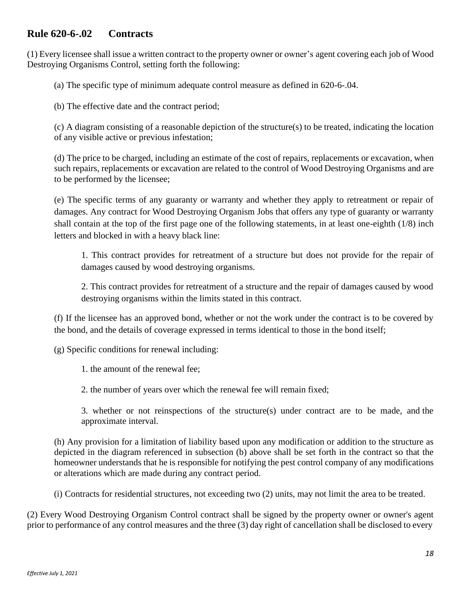# **Rule 620-6-.02 Contracts**

(1) Every licensee shall issue a written contract to the property owner or owner's agent covering each job of Wood Destroying Organisms Control, setting forth the following:

(a) The specific type of minimum adequate control measure as defined in 620-6-.04.

(b) The effective date and the contract period;

(c) A diagram consisting of a reasonable depiction of the structure(s) to be treated, indicating the location of any visible active or previous infestation;

(d) The price to be charged, including an estimate of the cost of repairs, replacements or excavation, when such repairs, replacements or excavation are related to the control of Wood Destroying Organisms and are to be performed by the licensee;

(e) The specific terms of any guaranty or warranty and whether they apply to retreatment or repair of damages. Any contract for Wood Destroying Organism Jobs that offers any type of guaranty or warranty shall contain at the top of the first page one of the following statements, in at least one-eighth (1/8) inch letters and blocked in with a heavy black line:

1. This contract provides for retreatment of a structure but does not provide for the repair of damages caused by wood destroying organisms.

2. This contract provides for retreatment of a structure and the repair of damages caused by wood destroying organisms within the limits stated in this contract.

(f) If the licensee has an approved bond, whether or not the work under the contract is to be covered by the bond, and the details of coverage expressed in terms identical to those in the bond itself;

(g) Specific conditions for renewal including:

1. the amount of the renewal fee;

2. the number of years over which the renewal fee will remain fixed;

3. whether or not reinspections of the structure(s) under contract are to be made, and the approximate interval.

(h) Any provision for a limitation of liability based upon any modification or addition to the structure as depicted in the diagram referenced in subsection (b) above shall be set forth in the contract so that the homeowner understands that he is responsible for notifying the pest control company of any modifications or alterations which are made during any contract period.

(i) Contracts for residential structures, not exceeding two (2) units, may not limit the area to be treated.

(2) Every Wood Destroying Organism Control contract shall be signed by the property owner or owner's agent prior to performance of any control measures and the three (3) day right of cancellation shall be disclosed to every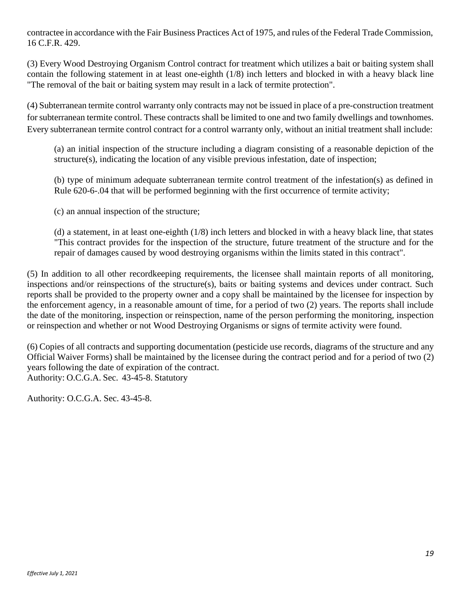contractee in accordance with the Fair Business Practices Act of 1975, and rules of the Federal Trade Commission, 16 C.F.R. 429.

(3) Every Wood Destroying Organism Control contract for treatment which utilizes a bait or baiting system shall contain the following statement in at least one-eighth (1/8) inch letters and blocked in with a heavy black line "The removal of the bait or baiting system may result in a lack of termite protection".

(4) Subterranean termite control warranty only contracts may not be issued in place of a pre-construction treatment for subterranean termite control. These contracts shall be limited to one and two family dwellings and townhomes. Every subterranean termite control contract for a control warranty only, without an initial treatment shall include:

(a) an initial inspection of the structure including a diagram consisting of a reasonable depiction of the structure(s), indicating the location of any visible previous infestation, date of inspection;

(b) type of minimum adequate subterranean termite control treatment of the infestation(s) as defined in Rule [620-6-.04](http://rules.sos.ga.gov/GAC/620-6-.04) that will be performed beginning with the first occurrence of termite activity;

(c) an annual inspection of the structure;

(d) a statement, in at least one-eighth (1/8) inch letters and blocked in with a heavy black line, that states "This contract provides for the inspection of the structure, future treatment of the structure and for the repair of damages caused by wood destroying organisms within the limits stated in this contract".

(5) In addition to all other recordkeeping requirements, the licensee shall maintain reports of all monitoring, inspections and/or reinspections of the structure(s), baits or baiting systems and devices under contract. Such reports shall be provided to the property owner and a copy shall be maintained by the licensee for inspection by the enforcement agency, in a reasonable amount of time, for a period of two (2) years. The reports shall include the date of the monitoring, inspection or reinspection, name of the person performing the monitoring, inspection or reinspection and whether or not Wood Destroying Organisms or signs of termite activity were found.

(6) Copies of all contracts and supporting documentation (pesticide use records, diagrams of the structure and any Official Waiver Forms) shall be maintained by the licensee during the contract period and for a period of two (2) years following the date of expiration of the contract. Authority: O.C.G.A. Sec. 43-45-8. Statutory

Authority: O.C.G.A. Sec. 43-45-8.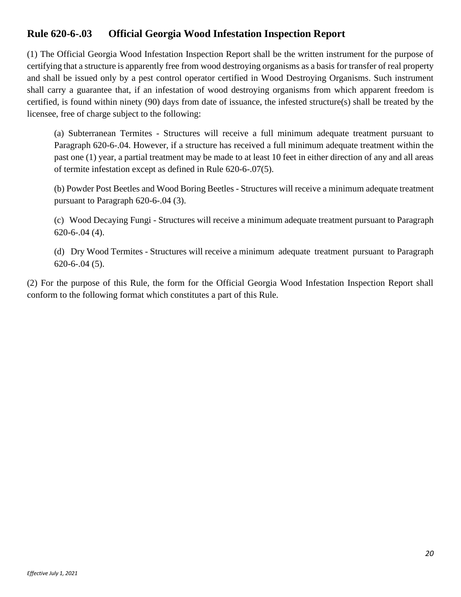# **Rule 620-6-.03 Official Georgia Wood Infestation Inspection Report**

(1) The Official Georgia Wood Infestation Inspection Report shall be the written instrument for the purpose of certifying that a structure is apparently free from wood destroying organisms as a basis for transfer of real property and shall be issued only by a pest control operator certified in Wood Destroying Organisms. Such instrument shall carry a guarantee that, if an infestation of wood destroying organisms from which apparent freedom is certified, is found within ninety (90) days from date of issuance, the infested structure(s) shall be treated by the licensee, free of charge subject to the following:

(a) Subterranean Termites - Structures will receive a full minimum adequate treatment pursuant to Paragraph [620-6-.04. H](http://rules.sos.ga.gov/GAC/620-6-.04)owever, if a structure has received a full minimum adequate treatment within the past one (1) year, a partial treatment may be made to at least 10 feet in either direction of any and all areas of termite infestation except as defined in Rule [620-6-.07\(5\).](http://rules.sos.ga.gov/GAC/620-6-.07#620-6-.07(5))

(b) Powder Post Beetles and Wood Boring Beetles - Structures will receive a minimum adequate treatment pursuant to Paragraph [620-6-.04](http://rules.sos.ga.gov/GAC/620-6-.04) (3).

(c) Wood Decaying Fungi - Structures will receive a minimum adequate treatment pursuant to Paragraph [620-6-.04](http://rules.sos.ga.gov/GAC/620-6-.04) (4).

(d) Dry Wood Termites - Structures will receive a minimum adequate treatment pursuant to Paragraph [620-6-.04](http://rules.sos.ga.gov/GAC/620-6-.04) (5).

(2) For the purpose of this Rule, the form for the Official Georgia Wood Infestation Inspection Report shall conform to the following format which constitutes a part of this Rule.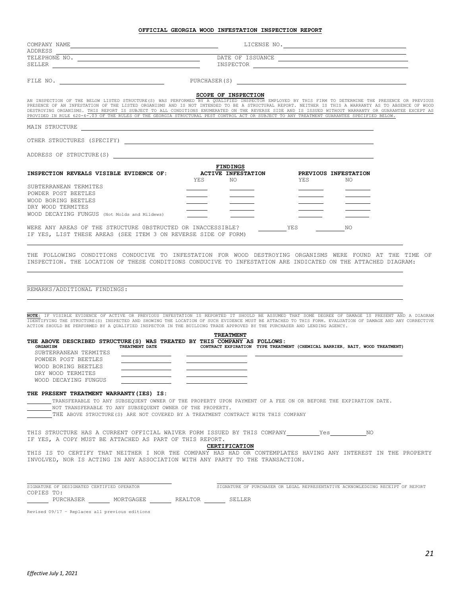| ADDRESS                                                                                                                                                                                                                                                                                                                                                                                                                                                                                                                                                                                                                                                                                                                                                                                                                                                                                                       |                                                                                            |                                  |                                                                                                                                                                                                                                |            |                             |  |
|---------------------------------------------------------------------------------------------------------------------------------------------------------------------------------------------------------------------------------------------------------------------------------------------------------------------------------------------------------------------------------------------------------------------------------------------------------------------------------------------------------------------------------------------------------------------------------------------------------------------------------------------------------------------------------------------------------------------------------------------------------------------------------------------------------------------------------------------------------------------------------------------------------------|--------------------------------------------------------------------------------------------|----------------------------------|--------------------------------------------------------------------------------------------------------------------------------------------------------------------------------------------------------------------------------|------------|-----------------------------|--|
|                                                                                                                                                                                                                                                                                                                                                                                                                                                                                                                                                                                                                                                                                                                                                                                                                                                                                                               |                                                                                            |                                  |                                                                                                                                                                                                                                |            |                             |  |
| SELLER <b>SELLER</b>                                                                                                                                                                                                                                                                                                                                                                                                                                                                                                                                                                                                                                                                                                                                                                                                                                                                                          |                                                                                            |                                  | INSPECTOR LATE AND A SERIES AND RESIDENCE AND RESIDENCE AND RESIDENCE AND RESIDENCE AND RESIDENCE AND RESIDENCE AND RESIDENCE AND RESIDENCE AND RESIDENCE AND RESIDENCE AND RESIDENCE AND RESIDENCE AND RESIDENCE AND RESIDENC |            |                             |  |
| FILE NO. THE ROOM CONTROL SERVICE SERVICES AND PURCHASER (S)                                                                                                                                                                                                                                                                                                                                                                                                                                                                                                                                                                                                                                                                                                                                                                                                                                                  |                                                                                            |                                  |                                                                                                                                                                                                                                |            |                             |  |
|                                                                                                                                                                                                                                                                                                                                                                                                                                                                                                                                                                                                                                                                                                                                                                                                                                                                                                               |                                                                                            | <b>SCOPE OF INSPECTION</b>       |                                                                                                                                                                                                                                |            |                             |  |
| AN INSPECTION OF THE BELOW LISTED STRUCTURE(S) WAS PERFORMED BY A QUALIFIED INSPECTOR EMPLOYED BY THIS FIRM TO DETERMINE THE PRESENCE OR PREVIOUS<br>PRESENCE OF AN INFESTATION OF THE LISTED ORGANISMS AND IS NOT INTENDED TO BE A STRUCTURAL REPORT. NEITHER IS THIS A WARRANTY AS TO ABSENCE OF WOOD<br>DESTROYING ORGANISMS. THIS REPORT IS SUBJECT TO ALL CONDITIONS ENUMERATED ON THE REVERSE SIDE AND IS ISSUED WITHOUT WARRANTY OR GUARANTEE EXCEPT AS<br>PROVIDED IN RULE 620-6-.03 OF THE RULES OF THE GEORGIA STRUCTURAL PEST CONTROL ACT OR SUBJECT TO ANY TREATMENT GUARANTEE SPECIFIED BELOW.                                                                                                                                                                                                                                                                                                   |                                                                                            |                                  |                                                                                                                                                                                                                                |            |                             |  |
| MAIN STRUCTURE THE RESERVE OF THE RESERVE THAT IN THE RESERVE THAT IN THE RESERVE THAT IN THE RESERVE THAT IN THE RESERVE THAT IN THE RESERVE THAT IN THE RESERVE THAT THE RESERVE THAT IN THE RESERVE THAT THE RESERVE THAT T                                                                                                                                                                                                                                                                                                                                                                                                                                                                                                                                                                                                                                                                                |                                                                                            |                                  |                                                                                                                                                                                                                                |            |                             |  |
|                                                                                                                                                                                                                                                                                                                                                                                                                                                                                                                                                                                                                                                                                                                                                                                                                                                                                                               |                                                                                            |                                  |                                                                                                                                                                                                                                |            |                             |  |
| ADDRESS OF STRUCTURE (S)                                                                                                                                                                                                                                                                                                                                                                                                                                                                                                                                                                                                                                                                                                                                                                                                                                                                                      |                                                                                            |                                  |                                                                                                                                                                                                                                |            |                             |  |
|                                                                                                                                                                                                                                                                                                                                                                                                                                                                                                                                                                                                                                                                                                                                                                                                                                                                                                               |                                                                                            | <b>FINDINGS</b>                  |                                                                                                                                                                                                                                |            |                             |  |
| INSPECTION REVEALS VISIBLE EVIDENCE OF:                                                                                                                                                                                                                                                                                                                                                                                                                                                                                                                                                                                                                                                                                                                                                                                                                                                                       |                                                                                            | <b>ACTIVE INFESTATION</b><br>YES | NO.                                                                                                                                                                                                                            | <b>YES</b> | PREVIOUS INFESTATION<br>NO. |  |
| SUBTERRANEAN TERMITES<br>POWDER POST BEETLES                                                                                                                                                                                                                                                                                                                                                                                                                                                                                                                                                                                                                                                                                                                                                                                                                                                                  |                                                                                            |                                  |                                                                                                                                                                                                                                |            |                             |  |
| WOOD BORING BEETLES                                                                                                                                                                                                                                                                                                                                                                                                                                                                                                                                                                                                                                                                                                                                                                                                                                                                                           |                                                                                            |                                  |                                                                                                                                                                                                                                |            |                             |  |
| DRY WOOD TERMITES<br>WOOD DECAYING FUNGUS (Not Molds and Mildews)                                                                                                                                                                                                                                                                                                                                                                                                                                                                                                                                                                                                                                                                                                                                                                                                                                             |                                                                                            |                                  |                                                                                                                                                                                                                                |            |                             |  |
|                                                                                                                                                                                                                                                                                                                                                                                                                                                                                                                                                                                                                                                                                                                                                                                                                                                                                                               |                                                                                            |                                  |                                                                                                                                                                                                                                |            |                             |  |
| WERE ANY AREAS OF THE STRUCTURE OBSTRUCTED OR INACCESSIBLE?<br>IF YES, LIST THESE AREAS (SEE ITEM 3 ON REVERSE SIDE OF FORM)                                                                                                                                                                                                                                                                                                                                                                                                                                                                                                                                                                                                                                                                                                                                                                                  |                                                                                            |                                  | YES                                                                                                                                                                                                                            |            | NO                          |  |
|                                                                                                                                                                                                                                                                                                                                                                                                                                                                                                                                                                                                                                                                                                                                                                                                                                                                                                               |                                                                                            |                                  |                                                                                                                                                                                                                                |            |                             |  |
| REMARKS/ADDITIONAL FINDINGS:                                                                                                                                                                                                                                                                                                                                                                                                                                                                                                                                                                                                                                                                                                                                                                                                                                                                                  |                                                                                            |                                  |                                                                                                                                                                                                                                |            |                             |  |
|                                                                                                                                                                                                                                                                                                                                                                                                                                                                                                                                                                                                                                                                                                                                                                                                                                                                                                               |                                                                                            |                                  |                                                                                                                                                                                                                                |            |                             |  |
|                                                                                                                                                                                                                                                                                                                                                                                                                                                                                                                                                                                                                                                                                                                                                                                                                                                                                                               |                                                                                            |                                  |                                                                                                                                                                                                                                |            |                             |  |
|                                                                                                                                                                                                                                                                                                                                                                                                                                                                                                                                                                                                                                                                                                                                                                                                                                                                                                               |                                                                                            | <b>TREATMENT</b>                 |                                                                                                                                                                                                                                |            |                             |  |
| ORGANISM<br>SUBTERRANEAN TERMITES                                                                                                                                                                                                                                                                                                                                                                                                                                                                                                                                                                                                                                                                                                                                                                                                                                                                             | TREATMENT DATE CONTRACT EXPIRATION TYPE TREATMENT (CHEMICAL BARRIER, BAIT, WOOD TREATMENT) |                                  |                                                                                                                                                                                                                                |            |                             |  |
| POWDER POST BEETLES                                                                                                                                                                                                                                                                                                                                                                                                                                                                                                                                                                                                                                                                                                                                                                                                                                                                                           |                                                                                            |                                  |                                                                                                                                                                                                                                |            |                             |  |
| WOOD BORING BEETLES<br>DRY WOOD TERMITES                                                                                                                                                                                                                                                                                                                                                                                                                                                                                                                                                                                                                                                                                                                                                                                                                                                                      |                                                                                            |                                  |                                                                                                                                                                                                                                |            |                             |  |
| WOOD DECAYING FUNGUS                                                                                                                                                                                                                                                                                                                                                                                                                                                                                                                                                                                                                                                                                                                                                                                                                                                                                          |                                                                                            |                                  |                                                                                                                                                                                                                                |            |                             |  |
|                                                                                                                                                                                                                                                                                                                                                                                                                                                                                                                                                                                                                                                                                                                                                                                                                                                                                                               |                                                                                            |                                  |                                                                                                                                                                                                                                |            |                             |  |
| TRANSFERABLE TO ANY SUBSEQUENT OWNER OF THE PROPERTY UPON PAYMENT OF A FEE ON OR BEFORE THE EXPIRATION DATE.                                                                                                                                                                                                                                                                                                                                                                                                                                                                                                                                                                                                                                                                                                                                                                                                  |                                                                                            |                                  |                                                                                                                                                                                                                                |            |                             |  |
| NOT TRANSFERABLE TO ANY SUBSEQUENT OWNER OF THE PROPERTY.<br>THE ABOVE STRUCTURE (S) ARE NOT COVERED BY A TREATMENT CONTRACT WITH THIS COMPANY                                                                                                                                                                                                                                                                                                                                                                                                                                                                                                                                                                                                                                                                                                                                                                |                                                                                            |                                  |                                                                                                                                                                                                                                |            |                             |  |
|                                                                                                                                                                                                                                                                                                                                                                                                                                                                                                                                                                                                                                                                                                                                                                                                                                                                                                               |                                                                                            |                                  |                                                                                                                                                                                                                                |            |                             |  |
|                                                                                                                                                                                                                                                                                                                                                                                                                                                                                                                                                                                                                                                                                                                                                                                                                                                                                                               |                                                                                            |                                  |                                                                                                                                                                                                                                |            |                             |  |
| NOTE: IF VISIBLE EVIDENCE OF ACTIVE OR PREVIOUS INFESTATION IS REPORTED IT SHOULD BE ASSUMED THAT SOME DEGREE OF DAMAGE IS PRESENT AND A DIAGRAM<br>IDENTIFYING THE STRUCTURE (S) INSPECTED AND SHOWING THE LOCATION OF SUCH EVIDENCE MUST BE ATTACHED TO THIS FORM. EVALUATION OF DAMAGE AND ANY CORRECTIVE<br>ACTION SHOULD BE PERFORMED BY A QUALIFIED INSPECTOR IN THE BUILDING TRADE APPROVED BY THE PURCHASER AND LENDING AGENCY.<br>THE ABOVE DESCRIBED STRUCTURE(S) WAS TREATED BY THIS COMPANY AS FOLLOWS:<br>THE PRESENT TREATMENT WARRANTY (IES) IS:<br>THIS STRUCTURE HAS A CURRENT OFFICIAL WAIVER FORM ISSUED BY THIS COMPANY THES<br>IF YES, A COPY MUST BE ATTACHED AS PART OF THIS REPORT.<br>THIS IS TO CERTIFY THAT NEITHER I NOR THE COMPANY HAS HAD OR CONTEMPLATES HAVING ANY INTEREST IN THE PROPERTY<br>INVOLVED, NOR IS ACTING IN ANY ASSOCIATION WITH ANY PARTY TO THE TRANSACTION. |                                                                                            | <b>CERTIFICATION</b>             |                                                                                                                                                                                                                                |            |                             |  |
|                                                                                                                                                                                                                                                                                                                                                                                                                                                                                                                                                                                                                                                                                                                                                                                                                                                                                                               |                                                                                            |                                  |                                                                                                                                                                                                                                |            |                             |  |

PURCHASER MORTGAGEE REALTOR SELLER

Revised 09/17 – Replaces all previous editions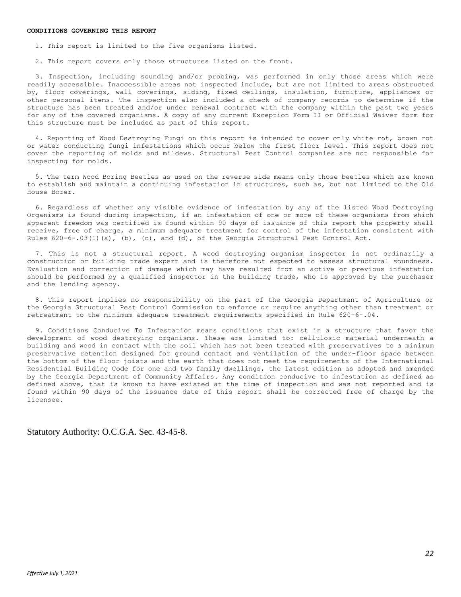1. This report is limited to the five organisms listed.

2. This report covers only those structures listed on the front.

3. Inspection, including sounding and/or probing, was performed in only those areas which were readily accessible. Inaccessible areas not inspected include, but are not limited to areas obstructed by, floor coverings, wall coverings, siding, fixed ceilings, insulation, furniture, appliances or other personal items. The inspection also included a check of company records to determine if the structure has been treated and/or under renewal contract with the company within the past two years for any of the covered organisms. A copy of any current Exception Form II or Official Waiver form for this structure must be included as part of this report.

4. Reporting of Wood Destroying Fungi on this report is intended to cover only white rot, brown rot or water conducting fungi infestations which occur below the first floor level. This report does not cover the reporting of molds and mildews. Structural Pest Control companies are not responsible for inspecting for molds.

5. The term Wood Boring Beetles as used on the reverse side means only those beetles which are known to establish and maintain a continuing infestation in structures, such as, but not limited to the Old House Borer.

6. Regardless of whether any visible evidence of infestation by any of the listed Wood Destroying Organisms is found during inspection, if an infestation of one or more of these organisms from which apparent freedom was certified is found within 90 days of issuance of this report the property shall receive, free of charge, a minimum adequate treatment for control of the infestation consistent with Rules  $620-6-.03(1)$  (a), (b), (c), and (d), of the Georgia Structural Pest Control Act.

7. This is not a structural report. A wood destroying organism inspector is not ordinarily a construction or building trade expert and is therefore not expected to assess structural soundness. Evaluation and correction of damage which may have resulted from an active or previous infestation should be performed by a qualified inspector in the building trade, who is approved by the purchaser and the lending agency.

8. This report implies no responsibility on the part of the Georgia Department of Agriculture or the Georgia Structural Pest Control Commission to enforce or require anything other than treatment or retreatment to the minimum adequate treatment requirements specified in Rule 620-6-.04.

9. Conditions Conducive To Infestation means conditions that exist in a structure that favor the development of wood destroying organisms. These are limited to: cellulosic material underneath a building and wood in contact with the soil which has not been treated with preservatives to a minimum preservative retention designed for ground contact and ventilation of the under-floor space between the bottom of the floor joists and the earth that does not meet the requirements of the International Residential Building Code for one and two family dwellings, the latest edition as adopted and amended by the Georgia Department of Community Affairs. Any condition conducive to infestation as defined as defined above, that is known to have existed at the time of inspection and was not reported and is found within 90 days of the issuance date of this report shall be corrected free of charge by the licensee.

Statutory Authority: O.C.G.A. Sec. 43-45-8.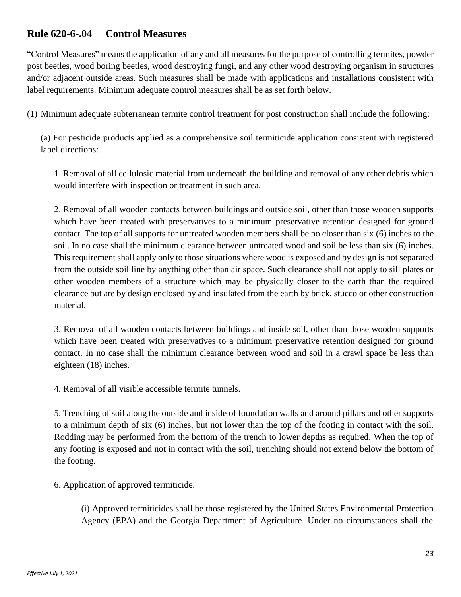# **Rule 620-6-.04 Control Measures**

"Control Measures" means the application of any and all measures for the purpose of controlling termites, powder post beetles, wood boring beetles, wood destroying fungi, and any other wood destroying organism in structures and/or adjacent outside areas. Such measures shall be made with applications and installations consistent with label requirements. Minimum adequate control measures shall be as set forth below.

(1) Minimum adequate subterranean termite control treatment for post construction shall include the following:

(a) For pesticide products applied as a comprehensive soil termiticide application consistent with registered label directions:

1. Removal of all cellulosic material from underneath the building and removal of any other debris which would interfere with inspection or treatment in such area.

2. Removal of all wooden contacts between buildings and outside soil, other than those wooden supports which have been treated with preservatives to a minimum preservative retention designed for ground contact. The top of all supports for untreated wooden members shall be no closer than six (6) inches to the soil. In no case shall the minimum clearance between untreated wood and soil be less than six (6) inches. This requirement shall apply only to those situations where wood is exposed and by design is not separated from the outside soil line by anything other than air space. Such clearance shall not apply to sill plates or other wooden members of a structure which may be physically closer to the earth than the required clearance but are by design enclosed by and insulated from the earth by brick, stucco or other construction material.

3. Removal of all wooden contacts between buildings and inside soil, other than those wooden supports which have been treated with preservatives to a minimum preservative retention designed for ground contact. In no case shall the minimum clearance between wood and soil in a crawl space be less than eighteen (18) inches.

4. Removal of all visible accessible termite tunnels.

5. Trenching of soil along the outside and inside of foundation walls and around pillars and other supports to a minimum depth of six (6) inches, but not lower than the top of the footing in contact with the soil. Rodding may be performed from the bottom of the trench to lower depths as required. When the top of any footing is exposed and not in contact with the soil, trenching should not extend below the bottom of the footing.

6. Application of approved termiticide.

(i) Approved termiticides shall be those registered by the United States Environmental Protection Agency (EPA) and the Georgia Department of Agriculture. Under no circumstances shall the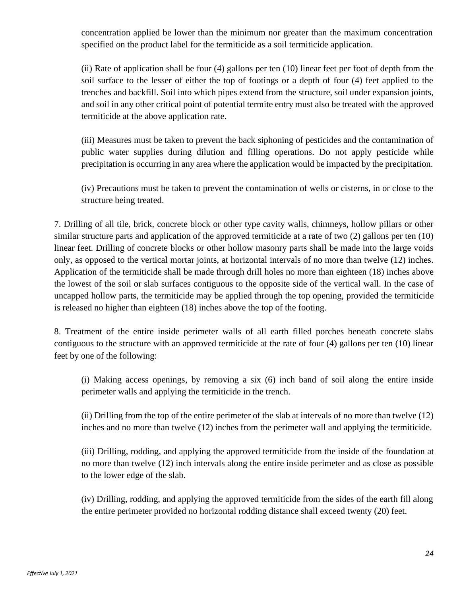concentration applied be lower than the minimum nor greater than the maximum concentration specified on the product label for the termiticide as a soil termiticide application.

(ii) Rate of application shall be four (4) gallons per ten (10) linear feet per foot of depth from the soil surface to the lesser of either the top of footings or a depth of four (4) feet applied to the trenches and backfill. Soil into which pipes extend from the structure, soil under expansion joints, and soil in any other critical point of potential termite entry must also be treated with the approved termiticide at the above application rate.

(iii) Measures must be taken to prevent the back siphoning of pesticides and the contamination of public water supplies during dilution and filling operations. Do not apply pesticide while precipitation is occurring in any area where the application would be impacted by the precipitation.

(iv) Precautions must be taken to prevent the contamination of wells or cisterns, in or close to the structure being treated.

7. Drilling of all tile, brick, concrete block or other type cavity walls, chimneys, hollow pillars or other similar structure parts and application of the approved termiticide at a rate of two (2) gallons per ten (10) linear feet. Drilling of concrete blocks or other hollow masonry parts shall be made into the large voids only, as opposed to the vertical mortar joints, at horizontal intervals of no more than twelve (12) inches. Application of the termiticide shall be made through drill holes no more than eighteen (18) inches above the lowest of the soil or slab surfaces contiguous to the opposite side of the vertical wall. In the case of uncapped hollow parts, the termiticide may be applied through the top opening, provided the termiticide is released no higher than eighteen (18) inches above the top of the footing.

8. Treatment of the entire inside perimeter walls of all earth filled porches beneath concrete slabs contiguous to the structure with an approved termiticide at the rate of four (4) gallons per ten (10) linear feet by one of the following:

(i) Making access openings, by removing a six (6) inch band of soil along the entire inside perimeter walls and applying the termiticide in the trench.

(ii) Drilling from the top of the entire perimeter of the slab at intervals of no more than twelve (12) inches and no more than twelve (12) inches from the perimeter wall and applying the termiticide.

(iii) Drilling, rodding, and applying the approved termiticide from the inside of the foundation at no more than twelve (12) inch intervals along the entire inside perimeter and as close as possible to the lower edge of the slab.

(iv) Drilling, rodding, and applying the approved termiticide from the sides of the earth fill along the entire perimeter provided no horizontal rodding distance shall exceed twenty (20) feet.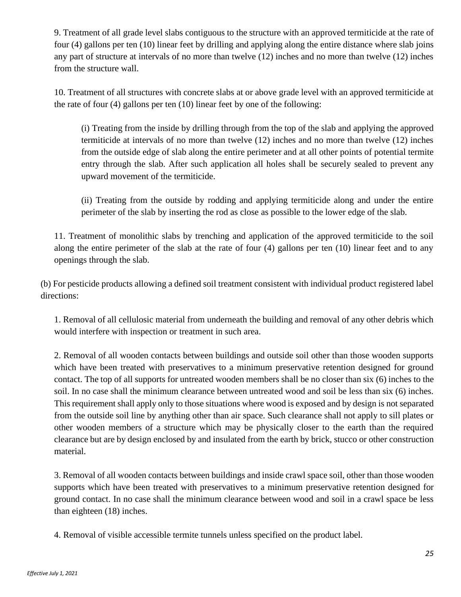9. Treatment of all grade level slabs contiguous to the structure with an approved termiticide at the rate of four (4) gallons per ten (10) linear feet by drilling and applying along the entire distance where slab joins any part of structure at intervals of no more than twelve (12) inches and no more than twelve (12) inches from the structure wall.

10. Treatment of all structures with concrete slabs at or above grade level with an approved termiticide at the rate of four (4) gallons per ten (10) linear feet by one of the following:

(i) Treating from the inside by drilling through from the top of the slab and applying the approved termiticide at intervals of no more than twelve (12) inches and no more than twelve (12) inches from the outside edge of slab along the entire perimeter and at all other points of potential termite entry through the slab. After such application all holes shall be securely sealed to prevent any upward movement of the termiticide.

(ii) Treating from the outside by rodding and applying termiticide along and under the entire perimeter of the slab by inserting the rod as close as possible to the lower edge of the slab.

11. Treatment of monolithic slabs by trenching and application of the approved termiticide to the soil along the entire perimeter of the slab at the rate of four (4) gallons per ten (10) linear feet and to any openings through the slab.

(b) For pesticide products allowing a defined soil treatment consistent with individual product registered label directions:

1. Removal of all cellulosic material from underneath the building and removal of any other debris which would interfere with inspection or treatment in such area.

2. Removal of all wooden contacts between buildings and outside soil other than those wooden supports which have been treated with preservatives to a minimum preservative retention designed for ground contact. The top of all supports for untreated wooden members shall be no closer than six (6) inches to the soil. In no case shall the minimum clearance between untreated wood and soil be less than six (6) inches. This requirement shall apply only to those situations where wood is exposed and by design is not separated from the outside soil line by anything other than air space. Such clearance shall not apply to sill plates or other wooden members of a structure which may be physically closer to the earth than the required clearance but are by design enclosed by and insulated from the earth by brick, stucco or other construction material.

3. Removal of all wooden contacts between buildings and inside crawl space soil, other than those wooden supports which have been treated with preservatives to a minimum preservative retention designed for ground contact. In no case shall the minimum clearance between wood and soil in a crawl space be less than eighteen (18) inches.

4. Removal of visible accessible termite tunnels unless specified on the product label.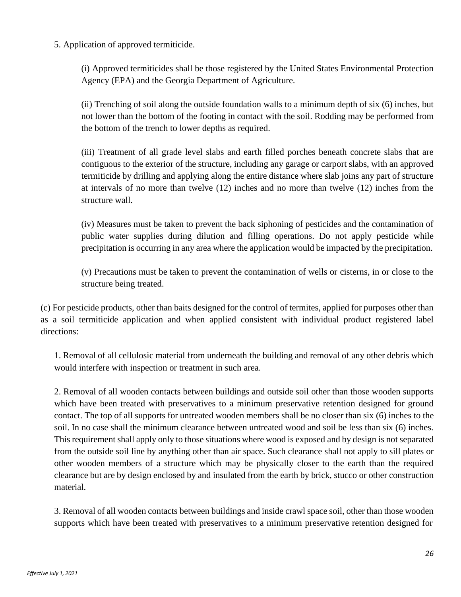5. Application of approved termiticide.

(i) Approved termiticides shall be those registered by the United States Environmental Protection Agency (EPA) and the Georgia Department of Agriculture.

(ii) Trenching of soil along the outside foundation walls to a minimum depth of six (6) inches, but not lower than the bottom of the footing in contact with the soil. Rodding may be performed from the bottom of the trench to lower depths as required.

(iii) Treatment of all grade level slabs and earth filled porches beneath concrete slabs that are contiguous to the exterior of the structure, including any garage or carport slabs, with an approved termiticide by drilling and applying along the entire distance where slab joins any part of structure at intervals of no more than twelve (12) inches and no more than twelve (12) inches from the structure wall.

(iv) Measures must be taken to prevent the back siphoning of pesticides and the contamination of public water supplies during dilution and filling operations. Do not apply pesticide while precipitation is occurring in any area where the application would be impacted by the precipitation.

(v) Precautions must be taken to prevent the contamination of wells or cisterns, in or close to the structure being treated.

(c) For pesticide products, other than baits designed for the control of termites, applied for purposes other than as a soil termiticide application and when applied consistent with individual product registered label directions:

1. Removal of all cellulosic material from underneath the building and removal of any other debris which would interfere with inspection or treatment in such area.

2. Removal of all wooden contacts between buildings and outside soil other than those wooden supports which have been treated with preservatives to a minimum preservative retention designed for ground contact. The top of all supports for untreated wooden members shall be no closer than six (6) inches to the soil. In no case shall the minimum clearance between untreated wood and soil be less than six (6) inches. This requirement shall apply only to those situations where wood is exposed and by design is not separated from the outside soil line by anything other than air space. Such clearance shall not apply to sill plates or other wooden members of a structure which may be physically closer to the earth than the required clearance but are by design enclosed by and insulated from the earth by brick, stucco or other construction material.

3. Removal of all wooden contacts between buildings and inside crawl space soil, other than those wooden supports which have been treated with preservatives to a minimum preservative retention designed for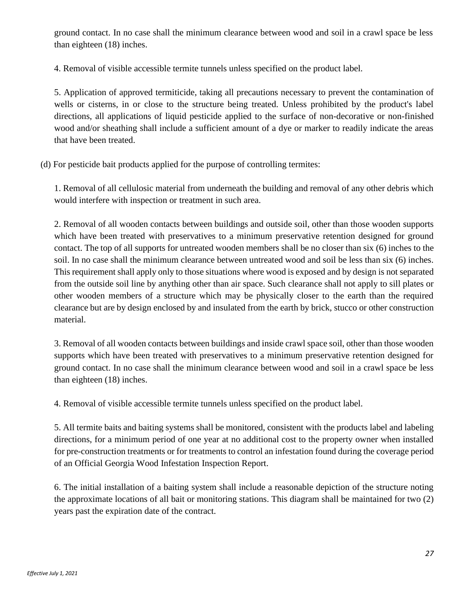ground contact. In no case shall the minimum clearance between wood and soil in a crawl space be less than eighteen (18) inches.

4. Removal of visible accessible termite tunnels unless specified on the product label.

5. Application of approved termiticide, taking all precautions necessary to prevent the contamination of wells or cisterns, in or close to the structure being treated. Unless prohibited by the product's label directions, all applications of liquid pesticide applied to the surface of non-decorative or non-finished wood and/or sheathing shall include a sufficient amount of a dye or marker to readily indicate the areas that have been treated.

(d) For pesticide bait products applied for the purpose of controlling termites:

1. Removal of all cellulosic material from underneath the building and removal of any other debris which would interfere with inspection or treatment in such area.

2. Removal of all wooden contacts between buildings and outside soil, other than those wooden supports which have been treated with preservatives to a minimum preservative retention designed for ground contact. The top of all supports for untreated wooden members shall be no closer than six (6) inches to the soil. In no case shall the minimum clearance between untreated wood and soil be less than six (6) inches. This requirement shall apply only to those situations where wood is exposed and by design is not separated from the outside soil line by anything other than air space. Such clearance shall not apply to sill plates or other wooden members of a structure which may be physically closer to the earth than the required clearance but are by design enclosed by and insulated from the earth by brick, stucco or other construction material.

3. Removal of all wooden contacts between buildings and inside crawl space soil, other than those wooden supports which have been treated with preservatives to a minimum preservative retention designed for ground contact. In no case shall the minimum clearance between wood and soil in a crawl space be less than eighteen (18) inches.

4. Removal of visible accessible termite tunnels unless specified on the product label.

5. All termite baits and baiting systems shall be monitored, consistent with the products label and labeling directions, for a minimum period of one year at no additional cost to the property owner when installed for pre-construction treatments or for treatments to control an infestation found during the coverage period of an Official Georgia Wood Infestation Inspection Report.

6. The initial installation of a baiting system shall include a reasonable depiction of the structure noting the approximate locations of all bait or monitoring stations. This diagram shall be maintained for two (2) years past the expiration date of the contract.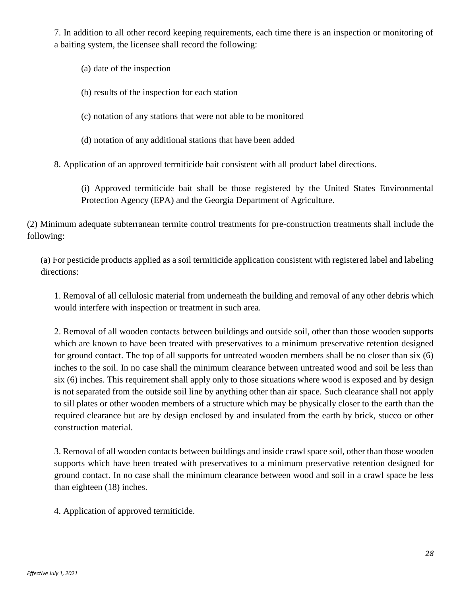7. In addition to all other record keeping requirements, each time there is an inspection or monitoring of a baiting system, the licensee shall record the following:

- (a) date of the inspection
- (b) results of the inspection for each station
- (c) notation of any stations that were not able to be monitored
- (d) notation of any additional stations that have been added

8. Application of an approved termiticide bait consistent with all product label directions.

(i) Approved termiticide bait shall be those registered by the United States Environmental Protection Agency (EPA) and the Georgia Department of Agriculture.

(2) Minimum adequate subterranean termite control treatments for pre-construction treatments shall include the following:

(a) For pesticide products applied as a soil termiticide application consistent with registered label and labeling directions:

1. Removal of all cellulosic material from underneath the building and removal of any other debris which would interfere with inspection or treatment in such area.

2. Removal of all wooden contacts between buildings and outside soil, other than those wooden supports which are known to have been treated with preservatives to a minimum preservative retention designed for ground contact. The top of all supports for untreated wooden members shall be no closer than six (6) inches to the soil. In no case shall the minimum clearance between untreated wood and soil be less than six (6) inches. This requirement shall apply only to those situations where wood is exposed and by design is not separated from the outside soil line by anything other than air space. Such clearance shall not apply to sill plates or other wooden members of a structure which may be physically closer to the earth than the required clearance but are by design enclosed by and insulated from the earth by brick, stucco or other construction material.

3. Removal of all wooden contacts between buildings and inside crawl space soil, other than those wooden supports which have been treated with preservatives to a minimum preservative retention designed for ground contact. In no case shall the minimum clearance between wood and soil in a crawl space be less than eighteen (18) inches.

4. Application of approved termiticide.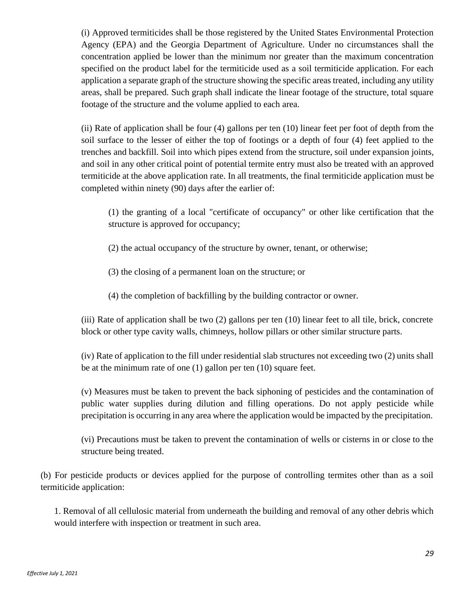(i) Approved termiticides shall be those registered by the United States Environmental Protection Agency (EPA) and the Georgia Department of Agriculture. Under no circumstances shall the concentration applied be lower than the minimum nor greater than the maximum concentration specified on the product label for the termiticide used as a soil termiticide application. For each application a separate graph of the structure showing the specific areas treated, including any utility areas, shall be prepared. Such graph shall indicate the linear footage of the structure, total square footage of the structure and the volume applied to each area.

(ii) Rate of application shall be four (4) gallons per ten (10) linear feet per foot of depth from the soil surface to the lesser of either the top of footings or a depth of four (4) feet applied to the trenches and backfill. Soil into which pipes extend from the structure, soil under expansion joints, and soil in any other critical point of potential termite entry must also be treated with an approved termiticide at the above application rate. In all treatments, the final termiticide application must be completed within ninety (90) days after the earlier of:

(1) the granting of a local "certificate of occupancy" or other like certification that the structure is approved for occupancy;

(2) the actual occupancy of the structure by owner, tenant, or otherwise;

- (3) the closing of a permanent loan on the structure; or
- (4) the completion of backfilling by the building contractor or owner.

(iii) Rate of application shall be two (2) gallons per ten (10) linear feet to all tile, brick, concrete block or other type cavity walls, chimneys, hollow pillars or other similar structure parts.

(iv) Rate of application to the fill under residential slab structures not exceeding two (2) units shall be at the minimum rate of one (1) gallon per ten (10) square feet.

(v) Measures must be taken to prevent the back siphoning of pesticides and the contamination of public water supplies during dilution and filling operations. Do not apply pesticide while precipitation is occurring in any area where the application would be impacted by the precipitation.

(vi) Precautions must be taken to prevent the contamination of wells or cisterns in or close to the structure being treated.

(b) For pesticide products or devices applied for the purpose of controlling termites other than as a soil termiticide application:

1. Removal of all cellulosic material from underneath the building and removal of any other debris which would interfere with inspection or treatment in such area.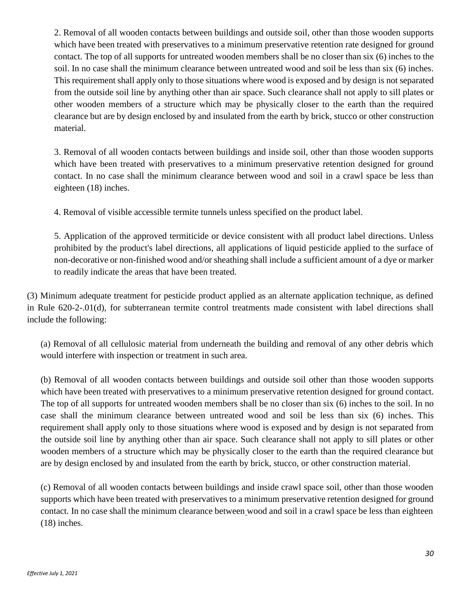2. Removal of all wooden contacts between buildings and outside soil, other than those wooden supports which have been treated with preservatives to a minimum preservative retention rate designed for ground contact. The top of all supports for untreated wooden members shall be no closer than six (6) inches to the soil. In no case shall the minimum clearance between untreated wood and soil be less than six (6) inches. This requirement shall apply only to those situations where wood is exposed and by design is not separated from the outside soil line by anything other than air space. Such clearance shall not apply to sill plates or other wooden members of a structure which may be physically closer to the earth than the required clearance but are by design enclosed by and insulated from the earth by brick, stucco or other construction material.

3. Removal of all wooden contacts between buildings and inside soil, other than those wooden supports which have been treated with preservatives to a minimum preservative retention designed for ground contact. In no case shall the minimum clearance between wood and soil in a crawl space be less than eighteen (18) inches.

4. Removal of visible accessible termite tunnels unless specified on the product label.

5. Application of the approved termiticide or device consistent with all product label directions. Unless prohibited by the product's label directions, all applications of liquid pesticide applied to the surface of non-decorative or non-finished wood and/or sheathing shall include a sufficient amount of a dye or marker to readily indicate the areas that have been treated.

(3) Minimum adequate treatment for pesticide product applied as an alternate application technique, as defined in Rule 620-2-.01(d), for subterranean termite control treatments made consistent with label directions shall include the following:

(a) Removal of all cellulosic material from underneath the building and removal of any other debris which would interfere with inspection or treatment in such area.

(b) Removal of all wooden contacts between buildings and outside soil other than those wooden supports which have been treated with preservatives to a minimum preservative retention designed for ground contact. The top of all supports for untreated wooden members shall be no closer than six (6) inches to the soil. In no case shall the minimum clearance between untreated wood and soil be less than six (6) inches. This requirement shall apply only to those situations where wood is exposed and by design is not separated from the outside soil line by anything other than air space. Such clearance shall not apply to sill plates or other wooden members of a structure which may be physically closer to the earth than the required clearance but are by design enclosed by and insulated from the earth by brick, stucco, or other construction material.

(c) Removal of all wooden contacts between buildings and inside crawl space soil, other than those wooden supports which have been treated with preservatives to a minimum preservative retention designed for ground contact. In no case shall the minimum clearance between wood and soil in a crawl space be less than eighteen (18) inches.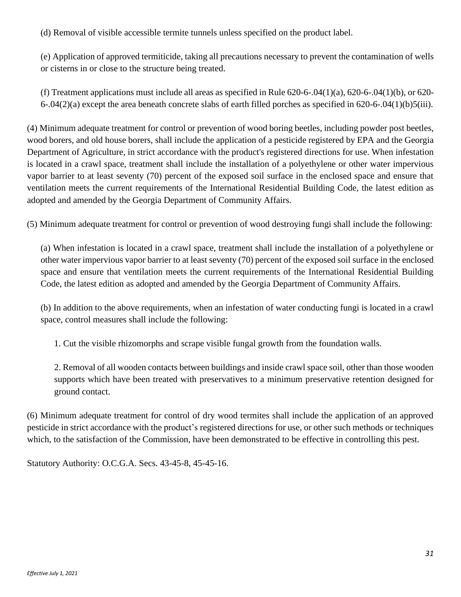(d) Removal of visible accessible termite tunnels unless specified on the product label.

(e) Application of approved termiticide, taking all precautions necessary to prevent the contamination of wells or cisterns in or close to the structure being treated.

(f) Treatment applications must include all areas as specified in Rule  $620-6-04(1)(a)$ ,  $620-6-04(1)(b)$ , or  $620-$ 6-.04(2)(a) except the area beneath concrete slabs of earth filled porches as specified in 620-6-.04(1)(b)5(iii).

(4) Minimum adequate treatment for control or prevention of wood boring beetles, including powder post beetles, wood borers, and old house borers, shall include the application of a pesticide registered by EPA and the Georgia Department of Agriculture, in strict accordance with the product's registered directions for use. When infestation is located in a crawl space, treatment shall include the installation of a polyethylene or other water impervious vapor barrier to at least seventy (70) percent of the exposed soil surface in the enclosed space and ensure that ventilation meets the current requirements of the International Residential Building Code, the latest edition as adopted and amended by the Georgia Department of Community Affairs.

(5) Minimum adequate treatment for control or prevention of wood destroying fungi shall include the following:

(a) When infestation is located in a crawl space, treatment shall include the installation of a polyethylene or other water impervious vapor barrier to at least seventy (70) percent of the exposed soil surface in the enclosed space and ensure that ventilation meets the current requirements of the International Residential Building Code, the latest edition as adopted and amended by the Georgia Department of Community Affairs.

(b) In addition to the above requirements, when an infestation of water conducting fungi is located in a crawl space, control measures shall include the following:

1. Cut the visible rhizomorphs and scrape visible fungal growth from the foundation walls.

2. Removal of all wooden contacts between buildings and inside crawl space soil, other than those wooden supports which have been treated with preservatives to a minimum preservative retention designed for ground contact.

(6) Minimum adequate treatment for control of dry wood termites shall include the application of an approved pesticide in strict accordance with the product's registered directions for use, or other such methods or techniques which, to the satisfaction of the Commission, have been demonstrated to be effective in controlling this pest.

Statutory Authority: O.C.G.A. Secs. 43-45-8, 45-45-16.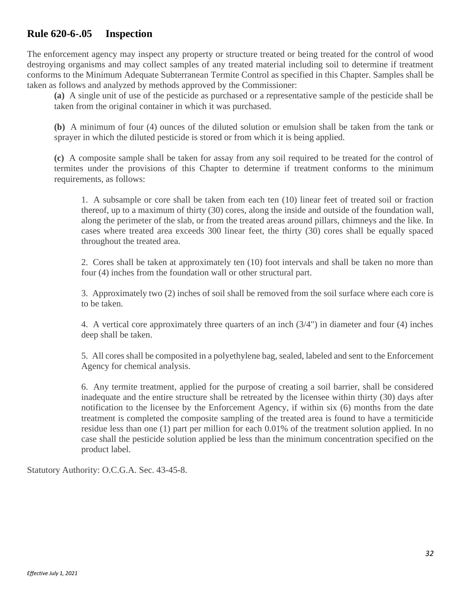# **Rule 620-6-.05 Inspection**

The enforcement agency may inspect any property or structure treated or being treated for the control of wood destroying organisms and may collect samples of any treated material including soil to determine if treatment conforms to the Minimum Adequate Subterranean Termite Control as specified in this Chapter. Samples shall be taken as follows and analyzed by methods approved by the Commissioner:

**(a)** A single unit of use of the pesticide as purchased or a representative sample of the pesticide shall be taken from the original container in which it was purchased.

**(b)** A minimum of four (4) ounces of the diluted solution or emulsion shall be taken from the tank or sprayer in which the diluted pesticide is stored or from which it is being applied.

**(c)** A composite sample shall be taken for assay from any soil required to be treated for the control of termites under the provisions of this Chapter to determine if treatment conforms to the minimum requirements, as follows:

1. A subsample or core shall be taken from each ten (10) linear feet of treated soil or fraction thereof, up to a maximum of thirty (30) cores, along the inside and outside of the foundation wall, along the perimeter of the slab, or from the treated areas around pillars, chimneys and the like. In cases where treated area exceeds 300 linear feet, the thirty (30) cores shall be equally spaced throughout the treated area.

2. Cores shall be taken at approximately ten (10) foot intervals and shall be taken no more than four (4) inches from the foundation wall or other structural part.

3. Approximately two (2) inches of soil shall be removed from the soil surface where each core is to be taken.

4. A vertical core approximately three quarters of an inch (3/4") in diameter and four (4) inches deep shall be taken.

5. All cores shall be composited in a polyethylene bag, sealed, labeled and sent to the Enforcement Agency for chemical analysis.

6. Any termite treatment, applied for the purpose of creating a soil barrier, shall be considered inadequate and the entire structure shall be retreated by the licensee within thirty (30) days after notification to the licensee by the Enforcement Agency, if within six (6) months from the date treatment is completed the composite sampling of the treated area is found to have a termiticide residue less than one (1) part per million for each 0.01% of the treatment solution applied. In no case shall the pesticide solution applied be less than the minimum concentration specified on the product label.

Statutory Authority: O.C.G.A. Sec. 43-45-8.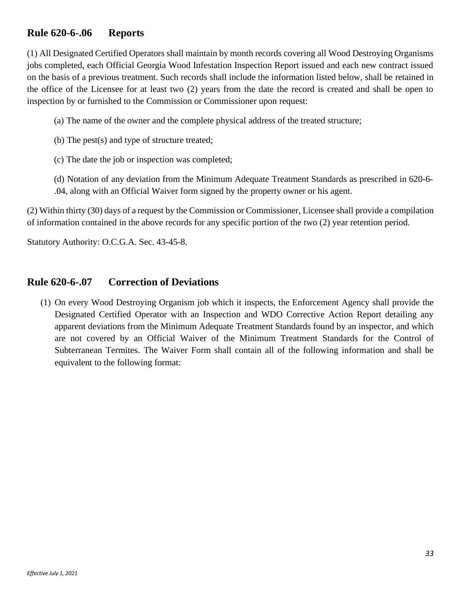# **Rule 620-6-.06 Reports**

(1) All Designated Certified Operators shall maintain by month records covering all Wood Destroying Organisms jobs completed, each Official Georgia Wood Infestation Inspection Report issued and each new contract issued on the basis of a previous treatment. Such records shall include the information listed below, shall be retained in the office of the Licensee for at least two (2) years from the date the record is created and shall be open to inspection by or furnished to the Commission or Commissioner upon request:

- (a) The name of the owner and the complete physical address of the treated structure;
- (b) The pest(s) and type of structure treated;
- (c) The date the job or inspection was completed;
- (d) Notation of any deviation from the Minimum Adequate Treatment Standards as prescribed in 620-6- .04, along with an Official Waiver form signed by the property owner or his agent.

(2) Within thirty (30) days of a request by the Commission or Commissioner, Licensee shall provide a compilation of information contained in the above records for any specific portion of the two (2) year retention period.

Statutory Authority: O.C.G.A. Sec. 43-45-8.

#### **Rule 620-6-.07 Correction of Deviations**

(1) On every Wood Destroying Organism job which it inspects, the Enforcement Agency shall provide the Designated Certified Operator with an Inspection and WDO Corrective Action Report detailing any apparent deviations from the Minimum Adequate Treatment Standards found by an inspector, and which are not covered by an Official Waiver of the Minimum Treatment Standards for the Control of Subterranean Termites. The Waiver Form shall contain all of the following information and shall be equivalent to the following format: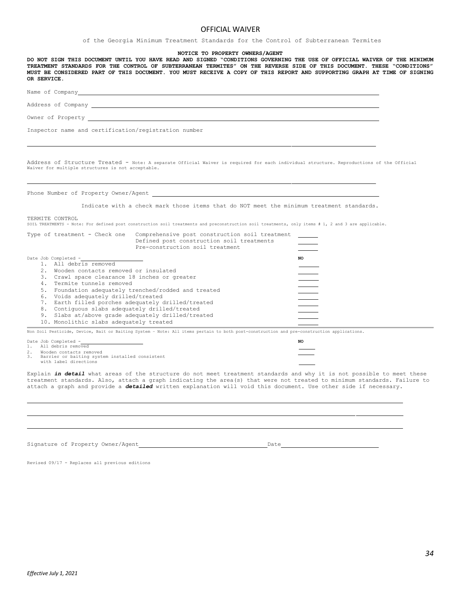#### OFFICIAL WAIVER

of the Georgia Minimum Treatment Standards for the Control of Subterranean Termites

#### **NOTICE TO PROPERTY OWNERS/AGENT**

DO NOT SIGN THIS DOCUMENT UNTIL YOU HAVE READ AND SIGNED "CONDITIONS GOVERNING THE USE OF OFFICIAL WAIVER OF THE MINIMUM **TREATMENT STANDARDS FOR THE CONTROL OF SUBTERRANEAN TERMITES" ON THE REVERSE SIDE OF THIS DOCUMENT. THESE "CONDITIONS"** MUST BE CONSIDERED PART OF THIS DOCUMENT. YOU MUST RECEIVE A COPY OF THIS REPORT AND SUPPORTING GRAPH AT TIME OF SIGNING **OR SERVICE.**

| Name of Company |                    |
|-----------------|--------------------|
|                 | Address of Company |

Inspector name and certification/registration number

Address of Structure Treated - Note: A separate Official Waiver is required for each individual structure. Reproductions of the Official Waiver for multiple structures is not acceptable.

Phone Number of Property Owner/Agent \_

Indicate with a check mark those items that do NOT meet the minimum treatment standards.

TERMITE CONTROL

Owner of Property

SOIL TREATMENTS - Note: For defined post construction soil treatments and preconstruction soil treatments, only items # 1, 2 and 3 are applicable.

| Type of treatment - Check one                         | Comprehensive post construction soil treatment<br>Defined post construction soil treatments<br>Pre-construction soil treatment            |           |
|-------------------------------------------------------|-------------------------------------------------------------------------------------------------------------------------------------------|-----------|
| Date Job Completed -                                  |                                                                                                                                           | <b>NO</b> |
| 1. All debris removed                                 |                                                                                                                                           |           |
| Wooden contacts removed or insulated<br>2.1           |                                                                                                                                           |           |
| Crawl space clearance 18 inches or greater<br>3.      |                                                                                                                                           |           |
| Termite tunnels removed                               |                                                                                                                                           |           |
| 5.                                                    | Foundation adequately trenched/rodded and treated                                                                                         |           |
| Voids adequately drilled/treated<br>6.                |                                                                                                                                           |           |
| Earth filled porches adequately drilled/treated       |                                                                                                                                           |           |
| Contiguous slabs adequately drilled/treated<br>8.     |                                                                                                                                           |           |
| Slabs at/above grade adequately drilled/treated<br>9. |                                                                                                                                           |           |
| 10. Monolithic slabs adequately treated               |                                                                                                                                           |           |
|                                                       | Non Soil Pesticide, Device, Bait or Baiting System - Note: All items pertain to both post-construction and pre-construction applications. |           |

Date Job Completed - **NO**<br>
1. All debris removed

All debris removed

2. Wooden contacts removed 3. Barrier or baiting system installed consistent with label directions

Explain *in detail* what areas of the structure do not meet treatment standards and why it is not possible to meet these treatment standards. Also, attach a graph indicating the area(s) that were not treated to minimum standards. Failure to attach a graph and provide a *detailed* written explanation will void this document. Use other side if necessary.

Signature of Property Owner/Agent Date

Revised 09/17 - Replaces all previous editions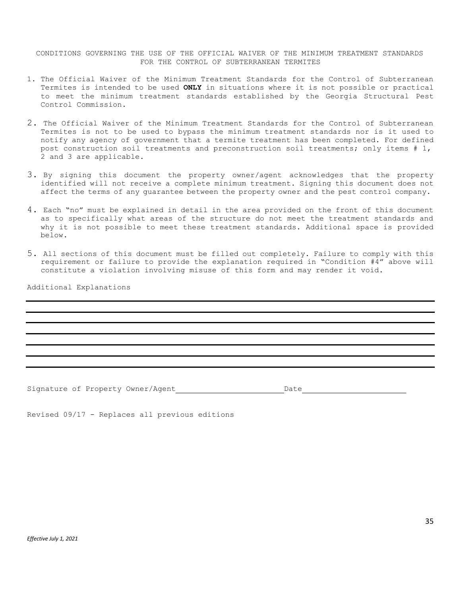CONDITIONS GOVERNING THE USE OF THE OFFICIAL WAIVER OF THE MINIMUM TREATMENT STANDARDS FOR THE CONTROL OF SUBTERRANEAN TERMITES

- 1. The Official Waiver of the Minimum Treatment Standards for the Control of Subterranean Termites is intended to be used **ONLY** in situations where it is not possible or practical to meet the minimum treatment standards established by the Georgia Structural Pest Control Commission.
- 2. The Official Waiver of the Minimum Treatment Standards for the Control of Subterranean Termites is not to be used to bypass the minimum treatment standards nor is it used to notify any agency of government that a termite treatment has been completed. For defined post construction soil treatments and preconstruction soil treatments; only items # 1, 2 and 3 are applicable.
- 3. By signing this document the property owner/agent acknowledges that the property identified will not receive a complete minimum treatment. Signing this document does not affect the terms of any guarantee between the property owner and the pest control company.
- 4. Each "no" must be explained in detail in the area provided on the front of this document as to specifically what areas of the structure do not meet the treatment standards and why it is not possible to meet these treatment standards. Additional space is provided below.
- 5. All sections of this document must be filled out completely. Failure to comply with this requirement or failure to provide the explanation required in "Condition  $#4''$  above will constitute a violation involving misuse of this form and may render it void.

Additional Explanations

Signature of Property Owner/Agent Date Date

Revised 09/17 - Replaces all previous editions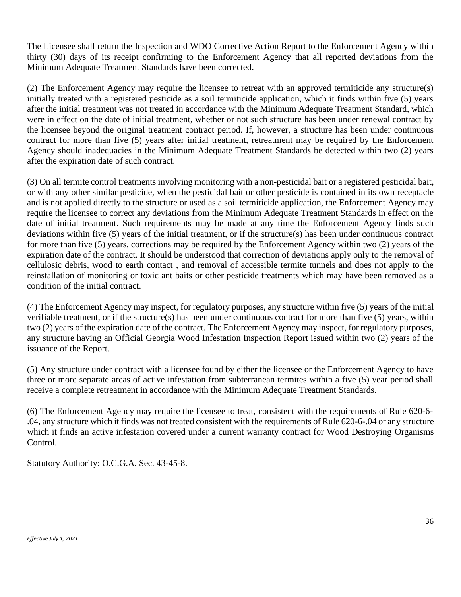The Licensee shall return the Inspection and WDO Corrective Action Report to the Enforcement Agency within thirty (30) days of its receipt confirming to the Enforcement Agency that all reported deviations from the Minimum Adequate Treatment Standards have been corrected.

(2) The Enforcement Agency may require the licensee to retreat with an approved termiticide any structure(s) initially treated with a registered pesticide as a soil termiticide application, which it finds within five (5) years after the initial treatment was not treated in accordance with the Minimum Adequate Treatment Standard, which were in effect on the date of initial treatment, whether or not such structure has been under renewal contract by the licensee beyond the original treatment contract period. If, however, a structure has been under continuous contract for more than five (5) years after initial treatment, retreatment may be required by the Enforcement Agency should inadequacies in the Minimum Adequate Treatment Standards be detected within two (2) years after the expiration date of such contract.

(3) On all termite control treatments involving monitoring with a non-pesticidal bait or a registered pesticidal bait, or with any other similar pesticide, when the pesticidal bait or other pesticide is contained in its own receptacle and is not applied directly to the structure or used as a soil termiticide application, the Enforcement Agency may require the licensee to correct any deviations from the Minimum Adequate Treatment Standards in effect on the date of initial treatment. Such requirements may be made at any time the Enforcement Agency finds such deviations within five (5) years of the initial treatment, or if the structure(s) has been under continuous contract for more than five (5) years, corrections may be required by the Enforcement Agency within two (2) years of the expiration date of the contract. It should be understood that correction of deviations apply only to the removal of cellulosic debris, wood to earth contact , and removal of accessible termite tunnels and does not apply to the reinstallation of monitoring or toxic ant baits or other pesticide treatments which may have been removed as a condition of the initial contract.

(4) The Enforcement Agency may inspect, for regulatory purposes, any structure within five (5) years of the initial verifiable treatment, or if the structure(s) has been under continuous contract for more than five (5) years, within two (2) years of the expiration date of the contract. The Enforcement Agency may inspect, for regulatory purposes, any structure having an Official Georgia Wood Infestation Inspection Report issued within two (2) years of the issuance of the Report.

(5) Any structure under contract with a licensee found by either the licensee or the Enforcement Agency to have three or more separate areas of active infestation from subterranean termites within a five (5) year period shall receive a complete retreatment in accordance with the Minimum Adequate Treatment Standards.

(6) The Enforcement Agency may require the licensee to treat, consistent with the requirements of Rule 620-6- .04, any structure which it finds was not treated consistent with the requirements of Rule 620-6-.04 or any structure which it finds an active infestation covered under a current warranty contract for Wood Destroying Organisms Control.

Statutory Authority: O.C.G.A. Sec. 43-45-8.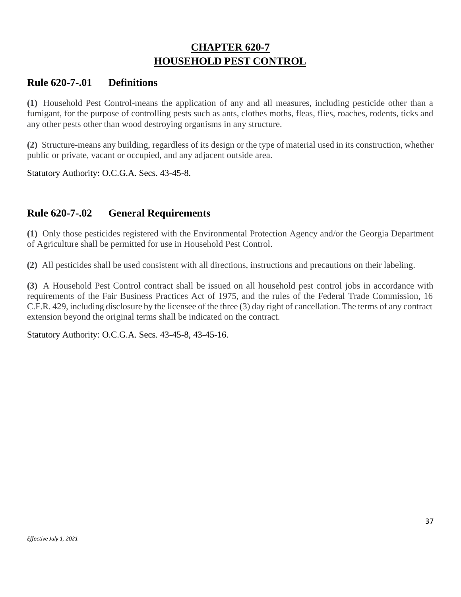# **CHAPTER 620-7 HOUSEHOLD PEST CONTROL**

### **Rule 620-7-.01 Definitions**

**(1)** Household Pest Control-means the application of any and all measures, including pesticide other than a fumigant, for the purpose of controlling pests such as ants, clothes moths, fleas, flies, roaches, rodents, ticks and any other pests other than wood destroying organisms in any structure.

**(2)** Structure-means any building, regardless of its design or the type of material used in its construction, whether public or private, vacant or occupied, and any adjacent outside area.

Statutory Authority: O.C.G.A. Secs. 43-45-8.

# **Rule 620-7-.02 General Requirements**

**(1)** Only those pesticides registered with the Environmental Protection Agency and/or the Georgia Department of Agriculture shall be permitted for use in Household Pest Control.

**(2)** All pesticides shall be used consistent with all directions, instructions and precautions on their labeling.

**(3)** A Household Pest Control contract shall be issued on all household pest control jobs in accordance with requirements of the Fair Business Practices Act of 1975, and the rules of the Federal Trade Commission, 16 C.F.R. 429, including disclosure by the licensee of the three (3) day right of cancellation. The terms of any contract extension beyond the original terms shall be indicated on the contract.

Statutory Authority: O.C.G.A. Secs. 43-45-8, 43-45-16.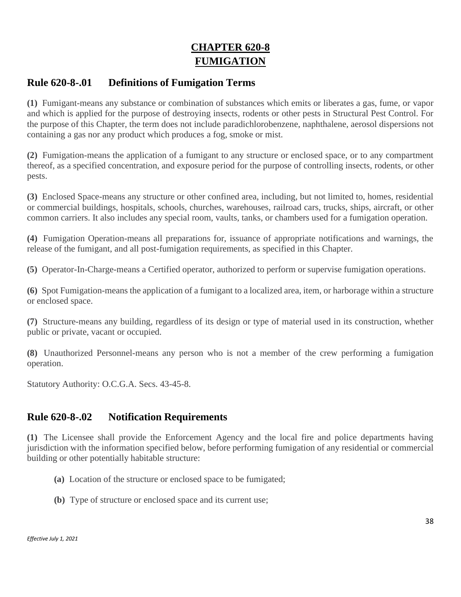# **CHAPTER 620-8 FUMIGATION**

## **Rule 620-8-.01 Definitions of Fumigation Terms**

**(1)** Fumigant-means any substance or combination of substances which emits or liberates a gas, fume, or vapor and which is applied for the purpose of destroying insects, rodents or other pests in Structural Pest Control. For the purpose of this Chapter, the term does not include paradichlorobenzene, naphthalene, aerosol dispersions not containing a gas nor any product which produces a fog, smoke or mist.

**(2)** Fumigation-means the application of a fumigant to any structure or enclosed space, or to any compartment thereof, as a specified concentration, and exposure period for the purpose of controlling insects, rodents, or other pests.

**(3)** Enclosed Space-means any structure or other confined area, including, but not limited to, homes, residential or commercial buildings, hospitals, schools, churches, warehouses, railroad cars, trucks, ships, aircraft, or other common carriers. It also includes any special room, vaults, tanks, or chambers used for a fumigation operation.

**(4)** Fumigation Operation-means all preparations for, issuance of appropriate notifications and warnings, the release of the fumigant, and all post-fumigation requirements, as specified in this Chapter.

**(5)** Operator-In-Charge-means a Certified operator, authorized to perform or supervise fumigation operations.

**(6)** Spot Fumigation-means the application of a fumigant to a localized area, item, or harborage within a structure or enclosed space.

**(7)** Structure-means any building, regardless of its design or type of material used in its construction, whether public or private, vacant or occupied.

**(8)** Unauthorized Personnel-means any person who is not a member of the crew performing a fumigation operation.

Statutory Authority: O.C.G.A. Secs. 43-45-8.

# **Rule 620-8-.02 Notification Requirements**

**(1)** The Licensee shall provide the Enforcement Agency and the local fire and police departments having jurisdiction with the information specified below, before performing fumigation of any residential or commercial building or other potentially habitable structure:

- **(a)** Location of the structure or enclosed space to be fumigated;
- **(b)** Type of structure or enclosed space and its current use;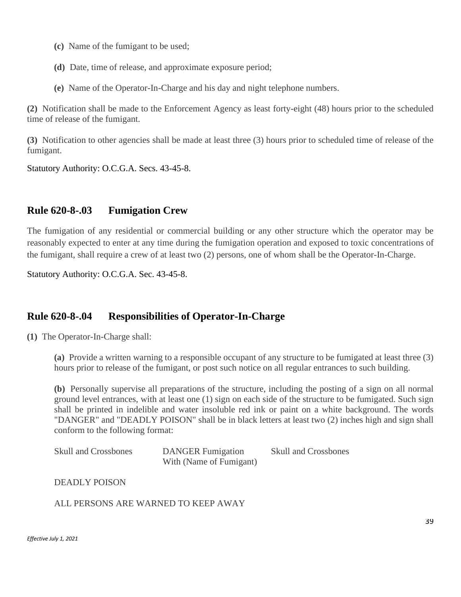- **(c)** Name of the fumigant to be used;
- **(d)** Date, time of release, and approximate exposure period;
- **(e)** Name of the Operator-In-Charge and his day and night telephone numbers.

**(2)** Notification shall be made to the Enforcement Agency as least forty-eight (48) hours prior to the scheduled time of release of the fumigant.

**(3)** Notification to other agencies shall be made at least three (3) hours prior to scheduled time of release of the fumigant.

Statutory Authority: O.C.G.A. Secs. 43-45-8.

#### **Rule 620-8-.03 Fumigation Crew**

The fumigation of any residential or commercial building or any other structure which the operator may be reasonably expected to enter at any time during the fumigation operation and exposed to toxic concentrations of the fumigant, shall require a crew of at least two (2) persons, one of whom shall be the Operator-In-Charge.

Statutory Authority: O.C.G.A. Sec. 43-45-8.

# **Rule 620-8-.04 Responsibilities of Operator-In-Charge**

**(1)** The Operator-In-Charge shall:

**(a)** Provide a written warning to a responsible occupant of any structure to be fumigated at least three (3) hours prior to release of the fumigant, or post such notice on all regular entrances to such building.

**(b)** Personally supervise all preparations of the structure, including the posting of a sign on all normal ground level entrances, with at least one (1) sign on each side of the structure to be fumigated. Such sign shall be printed in indelible and water insoluble red ink or paint on a white background. The words "DANGER" and "DEADLY POISON" shall be in black letters at least two (2) inches high and sign shall conform to the following format:

| <b>Skull and Crossbones</b> | <b>DANGER</b> Fumigation | <b>Skull and Crossbones</b> |
|-----------------------------|--------------------------|-----------------------------|
|                             | With (Name of Fumigant)  |                             |

DEADLY POISON

ALL PERSONS ARE WARNED TO KEEP AWAY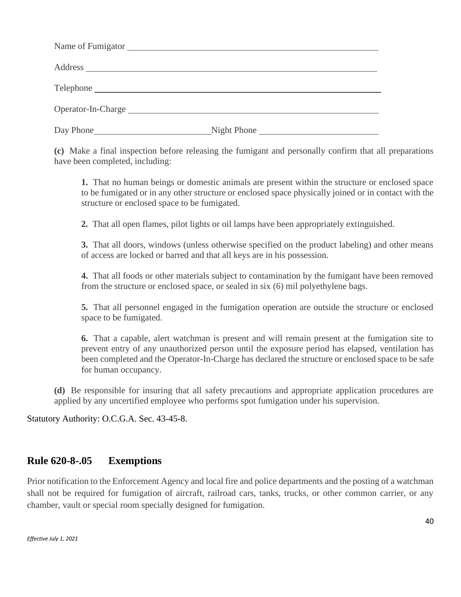| Operator-In-Charge |             |
|--------------------|-------------|
| Day Phone          | Night Phone |

**(c)** Make a final inspection before releasing the fumigant and personally confirm that all preparations have been completed, including:

**1.** That no human beings or domestic animals are present within the structure or enclosed space to be fumigated or in any other structure or enclosed space physically joined or in contact with the structure or enclosed space to be fumigated.

**2.** That all open flames, pilot lights or oil lamps have been appropriately extinguished.

**3.** That all doors, windows (unless otherwise specified on the product labeling) and other means of access are locked or barred and that all keys are in his possession.

**4.** That all foods or other materials subject to contamination by the fumigant have been removed from the structure or enclosed space, or sealed in six (6) mil polyethylene bags.

**5.** That all personnel engaged in the fumigation operation are outside the structure or enclosed space to be fumigated.

**6.** That a capable, alert watchman is present and will remain present at the fumigation site to prevent entry of any unauthorized person until the exposure period has elapsed, ventilation has been completed and the Operator-In-Charge has declared the structure or enclosed space to be safe for human occupancy.

**(d)** Be responsible for insuring that all safety precautions and appropriate application procedures are applied by any uncertified employee who performs spot fumigation under his supervision.

Statutory Authority: O.C.G.A. Sec. 43-45-8.

#### **Rule 620-8-.05 Exemptions**

Prior notification to the Enforcement Agency and local fire and police departments and the posting of a watchman shall not be required for fumigation of aircraft, railroad cars, tanks, trucks, or other common carrier, or any chamber, vault or special room specially designed for fumigation.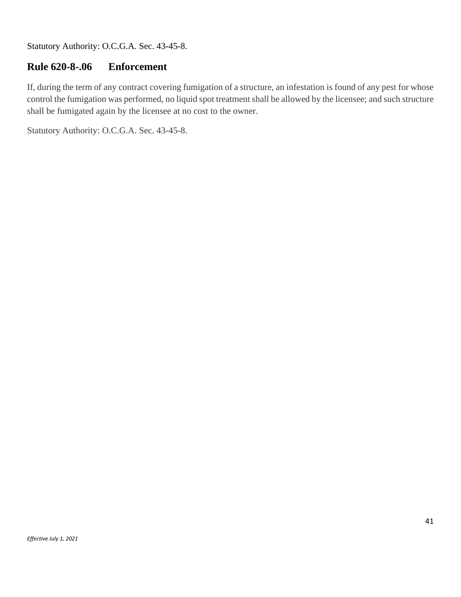Statutory Authority: O.C.G.A. Sec. 43-45-8.

# **Rule 620-8-.06 Enforcement**

If, during the term of any contract covering fumigation of a structure, an infestation is found of any pest for whose control the fumigation was performed, no liquid spot treatment shall be allowed by the licensee; and such structure shall be fumigated again by the licensee at no cost to the owner.

Statutory Authority: O.C.G.A. Sec. 43-45-8.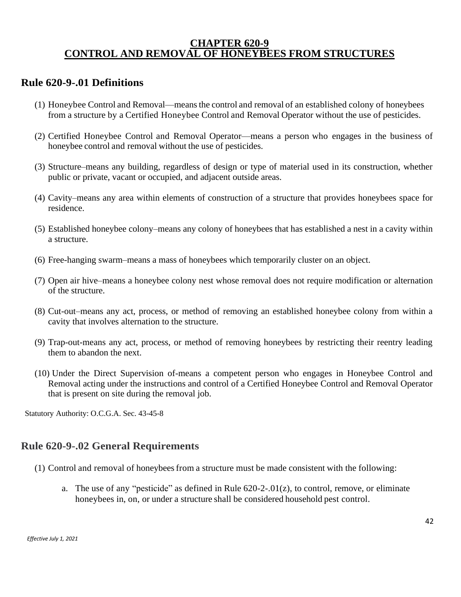#### **CHAPTER 620-9 CONTROL AND REMOVAL OF HONEYBEES FROM STRUCTURES**

#### **Rule 620-9-.01 Definitions**

- (1) Honeybee Control and Removal—meansthe control and removal of an established colony of honeybees from a structure by a Certified Honeybee Control and Removal Operator without the use of pesticides.
- (2) Certified Honeybee Control and Removal Operator—means a person who engages in the business of honeybee control and removal without the use of pesticides.
- (3) Structure–means any building, regardless of design or type of material used in its construction, whether public or private, vacant or occupied, and adjacent outside areas.
- (4) Cavity–means any area within elements of construction of a structure that provides honeybees space for residence.
- (5) Established honeybee colony–means any colony of honeybees that has established a nest in a cavity within a structure.
- (6) Free-hanging swarm–means a mass of honeybees which temporarily cluster on an object.
- (7) Open air hive–means a honeybee colony nest whose removal does not require modification or alternation of the structure.
- (8) Cut-out–means any act, process, or method of removing an established honeybee colony from within a cavity that involves alternation to the structure.
- (9) Trap-out-means any act, process, or method of removing honeybees by restricting their reentry leading them to abandon the next.
- (10) Under the Direct Supervision of-means a competent person who engages in Honeybee Control and Removal acting under the instructions and control of a Certified Honeybee Control and Removal Operator that is present on site during the removal job.

Statutory Authority: O.C.G.A. Sec. 43-45-8

#### **Rule 620-9-.02 General Requirements**

- (1) Control and removal of honeybeesfrom a structure must be made consistent with the following:
	- a. The use of any "pesticide" as defined in Rule 620-2-.01(z), to control, remove, or eliminate honeybees in, on, or under a structure shall be considered household pest control.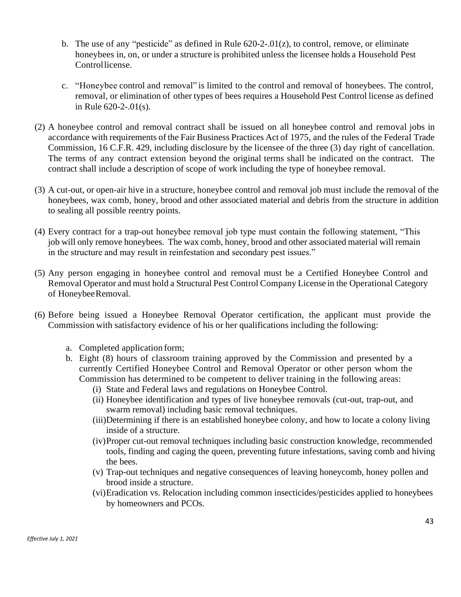- b. The use of any "pesticide" as defined in Rule 620-2-.01(z), to control, remove, or eliminate honeybees in, on, or under a structure is prohibited unless the licensee holds a Household Pest Controllicense.
- c. "Honeybee control and removal" is limited to the control and removal of honeybees. The control, removal, or elimination of other types of bees requires a Household Pest Control license as defined in Rule 620-2-.01(s).
- (2) A honeybee control and removal contract shall be issued on all honeybee control and removal jobs in accordance with requirements of the Fair Business Practices Act of 1975, and the rules of the Federal Trade Commission, 16 C.F.R. 429, including disclosure by the licensee of the three (3) day right of cancellation. The terms of any contract extension beyond the original terms shall be indicated on the contract. The contract shall include a description of scope of work including the type of honeybee removal.
- (3) A cut-out, or open-air hive in a structure, honeybee control and removal job must include the removal of the honeybees, wax comb, honey, brood and other associated material and debris from the structure in addition to sealing all possible reentry points.
- (4) Every contract for a trap-out honeybee removal job type must contain the following statement, "This job will only remove honeybees. The wax comb, honey, brood and other associated material will remain in the structure and may result in reinfestation and secondary pest issues."
- (5) Any person engaging in honeybee control and removal must be a Certified Honeybee Control and Removal Operator and must hold a Structural Pest Control Company License in the Operational Category of HoneybeeRemoval.
- (6) Before being issued a Honeybee Removal Operator certification, the applicant must provide the Commission with satisfactory evidence of his or her qualifications including the following:
	- a. Completed application form;
	- b. Eight (8) hours of classroom training approved by the Commission and presented by a currently Certified Honeybee Control and Removal Operator or other person whom the Commission has determined to be competent to deliver training in the following areas:
		- (i) State and Federal laws and regulations on Honeybee Control.
		- (ii) Honeybee identification and types of live honeybee removals (cut-out, trap-out, and swarm removal) including basic removal techniques.
		- (iii)Determining if there is an established honeybee colony, and how to locate a colony living inside of a structure.
		- (iv)Proper cut-out removal techniques including basic construction knowledge, recommended tools, finding and caging the queen, preventing future infestations, saving comb and hiving the bees.
		- (v) Trap-out techniques and negative consequences of leaving honeycomb, honey pollen and brood inside a structure.
		- (vi)Eradication vs. Relocation including common insecticides/pesticides applied to honeybees by homeowners and PCOs.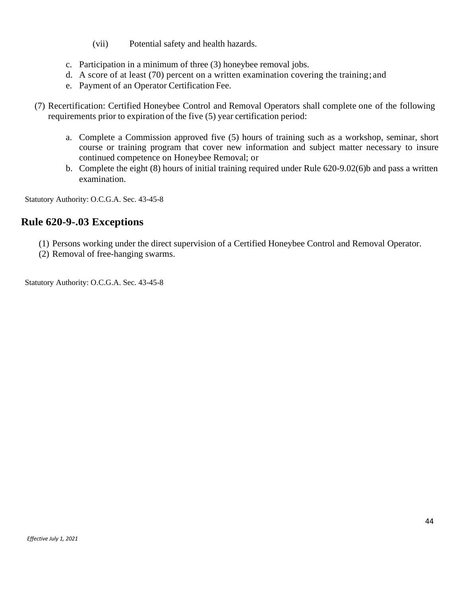- (vii) Potential safety and health hazards.
- c. Participation in a minimum of three (3) honeybee removal jobs.
- d. A score of at least (70) percent on a written examination covering the training; and
- e. Payment of an Operator Certification Fee.
- (7) Recertification: Certified Honeybee Control and Removal Operators shall complete one of the following requirements prior to expiration of the five (5) year certification period:
	- a. Complete a Commission approved five (5) hours of training such as a workshop, seminar, short course or training program that cover new information and subject matter necessary to insure continued competence on Honeybee Removal; or
	- b. Complete the eight (8) hours of initial training required under Rule 620-9.02(6)b and pass a written examination.

Statutory Authority: O.C.G.A. Sec. 43-45-8

### **Rule 620-9-.03 Exceptions**

- (1) Persons working under the direct supervision of a Certified Honeybee Control and Removal Operator.
- (2) Removal of free-hanging swarms.

Statutory Authority: O.C.G.A. Sec. 43-45-8